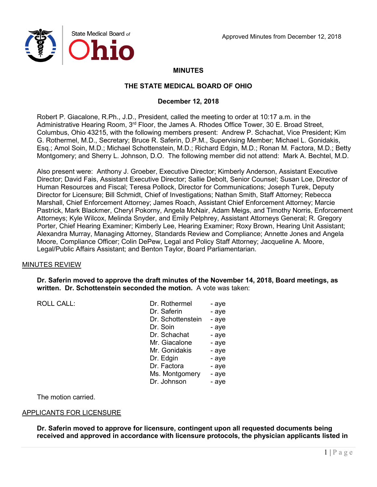

## **MINUTES**

### **THE STATE MEDICAL BOARD OF OHIO**

### **December 12, 2018**

Robert P. Giacalone, R.Ph., J.D., President, called the meeting to order at 10:17 a.m. in the Administrative Hearing Room, 3<sup>rd</sup> Floor, the James A. Rhodes Office Tower, 30 E. Broad Street, Columbus, Ohio 43215, with the following members present: Andrew P. Schachat, Vice President; Kim G. Rothermel, M.D., Secretary; Bruce R. Saferin, D.P.M., Supervising Member; Michael L. Gonidakis, Esq.; Amol Soin, M.D.; Michael Schottenstein, M.D.; Richard Edgin, M.D.; Ronan M. Factora, M.D.; Betty Montgomery; and Sherry L. Johnson, D.O. The following member did not attend: Mark A. Bechtel, M.D.

Also present were: Anthony J. Groeber, Executive Director; Kimberly Anderson, Assistant Executive Director; David Fais, Assistant Executive Director; Sallie Debolt, Senior Counsel; Susan Loe, Director of Human Resources and Fiscal; Teresa Pollock, Director for Communications; Joseph Turek, Deputy Director for Licensure; Bill Schmidt, Chief of Investigations; Nathan Smith, Staff Attorney; Rebecca Marshall, Chief Enforcement Attorney; James Roach, Assistant Chief Enforcement Attorney; Marcie Pastrick, Mark Blackmer, Cheryl Pokorny, Angela McNair, Adam Meigs, and Timothy Norris, Enforcement Attorneys; Kyle Wilcox, Melinda Snyder, and Emily Pelphrey, Assistant Attorneys General; R. Gregory Porter, Chief Hearing Examiner; Kimberly Lee, Hearing Examiner; Roxy Brown, Hearing Unit Assistant; Alexandra Murray, Managing Attorney, Standards Review and Compliance; Annette Jones and Angela Moore, Compliance Officer; Colin DePew, Legal and Policy Staff Attorney; Jacqueline A. Moore, Legal/Public Affairs Assistant; and Benton Taylor, Board Parliamentarian.

### MINUTES REVIEW

**Dr. Saferin moved to approve the draft minutes of the November 14, 2018, Board meetings, as written. Dr. Schottenstein seconded the motion.** A vote was taken:

ROLL CALL:

| Dr. Rothermel     | - aye |
|-------------------|-------|
| Dr. Saferin       | - aye |
| Dr. Schottenstein | - aye |
| Dr. Soin          | - aye |
| Dr. Schachat      | - aye |
| Mr. Giacalone     | - aye |
| Mr. Gonidakis     | - aye |
| Dr. Edgin         | - aye |
| Dr. Factora       | - aye |
| Ms. Montgomery    | - aye |
| Dr. Johnson       | - aye |

The motion carried.

### APPLICANTS FOR LICENSURE

**Dr. Saferin moved to approve for licensure, contingent upon all requested documents being received and approved in accordance with licensure protocols, the physician applicants listed in**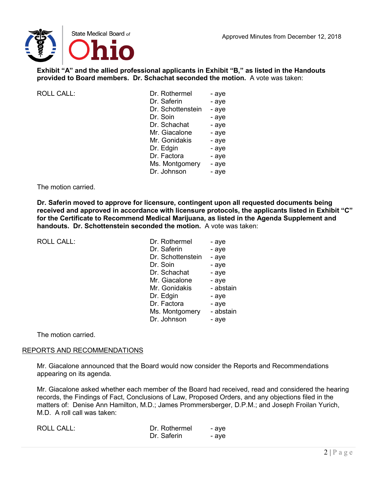

**Exhibit "A" and the allied professional applicants in Exhibit "B," as listed in the Handouts provided to Board members. Dr. Schachat seconded the motion.** A vote was taken:

| <b>ROLL CALL:</b> |  |
|-------------------|--|
|                   |  |

| ROLL CALL: | Dr. Rothermel     | - aye |
|------------|-------------------|-------|
|            | Dr. Saferin       | - aye |
|            | Dr. Schottenstein | - aye |
|            | Dr. Soin          | - aye |
|            | Dr. Schachat      | - aye |
|            | Mr. Giacalone     | - aye |
|            | Mr. Gonidakis     | - aye |
|            | Dr. Edgin         | - aye |
|            | Dr. Factora       | - aye |
|            | Ms. Montgomery    | - aye |
|            | Dr. Johnson       | - aye |
|            |                   |       |

### The motion carried.

**Dr. Saferin moved to approve for licensure, contingent upon all requested documents being received and approved in accordance with licensure protocols, the applicants listed in Exhibit "C" for the Certificate to Recommend Medical Marijuana, as listed in the Agenda Supplement and handouts. Dr. Schottenstein seconded the motion.** A vote was taken:

ROLL CALL:

| Dr. Rothermel     | - aye     |
|-------------------|-----------|
| Dr. Saferin       | - aye     |
| Dr. Schottenstein | - aye     |
| Dr. Soin          | - aye     |
| Dr. Schachat      | - aye     |
| Mr. Giacalone     | - aye     |
| Mr. Gonidakis     | - abstain |
| Dr. Edgin         | - aye     |
| Dr. Factora       | - aye     |
| Ms. Montgomery    | - abstain |
| Dr. Johnson       | - aye     |
|                   |           |

The motion carried.

### REPORTS AND RECOMMENDATIONS

Mr. Giacalone announced that the Board would now consider the Reports and Recommendations appearing on its agenda.

Mr. Giacalone asked whether each member of the Board had received, read and considered the hearing records, the Findings of Fact, Conclusions of Law, Proposed Orders, and any objections filed in the matters of: Denise Ann Hamilton, M.D.; James Prommersberger, D.P.M.; and Joseph Froilan Yurich, M.D. A roll call was taken:

| <b>ROLL CALL:</b> | Dr. Rothermel | - ave |
|-------------------|---------------|-------|
|                   | Dr. Saferin   | - ave |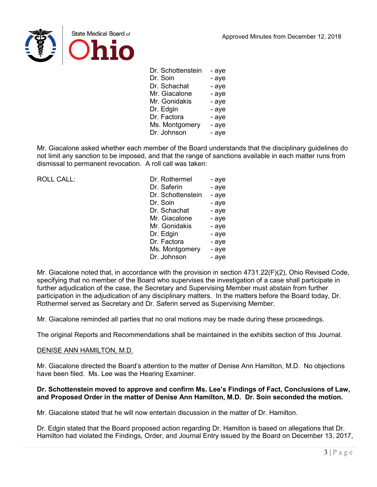

| Dr. Schottenstein | - aye |
|-------------------|-------|
| Dr. Soin          | - aye |
| Dr. Schachat      | - aye |
| Mr. Giacalone     | - aye |
| Mr. Gonidakis     | - aye |
| Dr. Edgin         | - aye |
| Dr. Factora       | - aye |
| Ms. Montgomery    | - aye |
| Dr. Johnson       | - aye |
|                   |       |

Mr. Giacalone asked whether each member of the Board understands that the disciplinary guidelines do not limit any sanction to be imposed, and that the range of sanctions available in each matter runs from dismissal to permanent revocation. A roll call was taken:

ROLL CALL:

| Dr. Rothermel     | - aye |
|-------------------|-------|
| Dr. Saferin       | - aye |
| Dr. Schottenstein | - aye |
| Dr. Soin          | - aye |
| Dr. Schachat      | - aye |
| Mr. Giacalone     | - aye |
| Mr. Gonidakis     | - aye |
| Dr. Edgin         | - aye |
| Dr. Factora       | - aye |
| Ms. Montgomery    | - aye |
| Dr. Johnson       | - aye |

Mr. Giacalone noted that, in accordance with the provision in section 4731.22(F)(2), Ohio Revised Code, specifying that no member of the Board who supervises the investigation of a case shall participate in further adjudication of the case, the Secretary and Supervising Member must abstain from further participation in the adjudication of any disciplinary matters. In the matters before the Board today, Dr. Rothermel served as Secretary and Dr. Saferin served as Supervising Member.

Mr. Giacalone reminded all parties that no oral motions may be made during these proceedings.

The original Reports and Recommendations shall be maintained in the exhibits section of this Journal.

### DENISE ANN HAMILTON, M.D.

Mr. Giacalone directed the Board's attention to the matter of Denise Ann Hamilton, M.D. No objections have been filed. Ms. Lee was the Hearing Examiner.

### **Dr. Schottenstein moved to approve and confirm Ms. Lee's Findings of Fact, Conclusions of Law, and Proposed Order in the matter of Denise Ann Hamilton, M.D. Dr. Soin seconded the motion.**

Mr. Giacalone stated that he will now entertain discussion in the matter of Dr. Hamilton.

Dr. Edgin stated that the Board proposed action regarding Dr. Hamilton is based on allegations that Dr. Hamilton had violated the Findings, Order, and Journal Entry issued by the Board on December 13, 2017,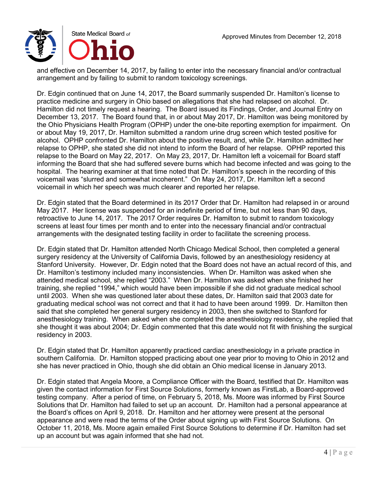

and effective on December 14, 2017, by failing to enter into the necessary financial and/or contractual arrangement and by failing to submit to random toxicology screenings.

Dr. Edgin continued that on June 14, 2017, the Board summarily suspended Dr. Hamilton's license to practice medicine and surgery in Ohio based on allegations that she had relapsed on alcohol. Dr. Hamilton did not timely request a hearing. The Board issued its Findings, Order, and Journal Entry on December 13, 2017. The Board found that, in or about May 2017, Dr. Hamilton was being monitored by the Ohio Physicians Health Program (OPHP) under the one-bite reporting exemption for impairment. On or about May 19, 2017, Dr. Hamilton submitted a random urine drug screen which tested positive for alcohol. OPHP confronted Dr. Hamilton about the positive result, and, while Dr. Hamilton admitted her relapse to OPHP, she stated she did not intend to inform the Board of her relapse. OPHP reported this relapse to the Board on May 22, 2017. On May 23, 2017, Dr. Hamilton left a voicemail for Board staff informing the Board that she had suffered severe burns which had become infected and was going to the hospital. The hearing examiner at that time noted that Dr. Hamilton's speech in the recording of this voicemail was "slurred and somewhat incoherent." On May 24, 2017, Dr. Hamilton left a second voicemail in which her speech was much clearer and reported her relapse.

Dr. Edgin stated that the Board determined in its 2017 Order that Dr. Hamilton had relapsed in or around May 2017. Her license was suspended for an indefinite period of time, but not less than 90 days, retroactive to June 14, 2017. The 2017 Order requires Dr. Hamilton to submit to random toxicology screens at least four times per month and to enter into the necessary financial and/or contractual arrangements with the designated testing facility in order to facilitate the screening process.

Dr. Edgin stated that Dr. Hamilton attended North Chicago Medical School, then completed a general surgery residency at the University of California Davis, followed by an anesthesiology residency at Stanford University. However, Dr. Edgin noted that the Board does not have an actual record of this, and Dr. Hamilton's testimony included many inconsistencies. When Dr. Hamilton was asked when she attended medical school, she replied "2003." When Dr. Hamilton was asked when she finished her training, she replied "1994," which would have been impossible if she did not graduate medical school until 2003. When she was questioned later about these dates, Dr. Hamilton said that 2003 date for graduating medical school was not correct and that it had to have been around 1999. Dr. Hamilton then said that she completed her general surgery residency in 2003, then she switched to Stanford for anesthesiology training. When asked when she completed the anesthesiology residency, she replied that she thought it was about 2004; Dr. Edgin commented that this date would not fit with finishing the surgical residency in 2003.

Dr. Edgin stated that Dr. Hamilton apparently practiced cardiac anesthesiology in a private practice in southern California. Dr. Hamilton stopped practicing about one year prior to moving to Ohio in 2012 and she has never practiced in Ohio, though she did obtain an Ohio medical license in January 2013.

Dr. Edgin stated that Angela Moore, a Compliance Officer with the Board, testified that Dr. Hamilton was given the contact information for First Source Solutions, formerly known as FirstLab, a Board-approved testing company. After a period of time, on February 5, 2018, Ms. Moore was informed by First Source Solutions that Dr. Hamilton had failed to set up an account. Dr. Hamilton had a personal appearance at the Board's offices on April 9, 2018. Dr. Hamilton and her attorney were present at the personal appearance and were read the terms of the Order about signing up with First Source Solutions. On October 11, 2018, Ms. Moore again emailed First Source Solutions to determine if Dr. Hamilton had set up an account but was again informed that she had not.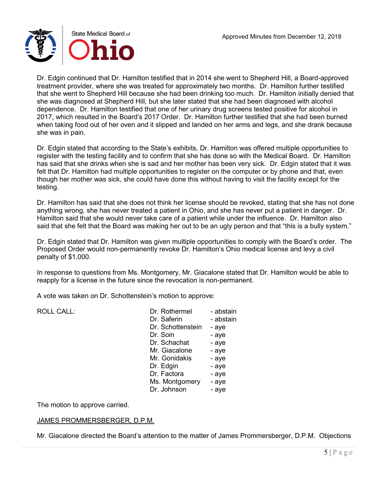

Dr. Edgin continued that Dr. Hamilton testified that in 2014 she went to Shepherd Hill, a Board-approved treatment provider, where she was treated for approximately two months. Dr. Hamilton further testified that she went to Shepherd Hill because she had been drinking too much. Dr. Hamilton initially denied that she was diagnosed at Shepherd Hill, but she later stated that she had been diagnosed with alcohol dependence. Dr. Hamilton testified that one of her urinary drug screens tested positive for alcohol in 2017, which resulted in the Board's 2017 Order. Dr. Hamilton further testified that she had been burned when taking food out of her oven and it slipped and landed on her arms and legs, and she drank because she was in pain.

Dr. Edgin stated that according to the State's exhibits, Dr. Hamilton was offered multiple opportunities to register with the testing facility and to confirm that she has done so with the Medical Board. Dr. Hamilton has said that she drinks when she is sad and her mother has been very sick. Dr. Edgin stated that it was felt that Dr. Hamilton had multiple opportunities to register on the computer or by phone and that, even though her mother was sick, she could have done this without having to visit the facility except for the testing.

Dr. Hamilton has said that she does not think her license should be revoked, stating that she has not done anything wrong, she has never treated a patient in Ohio, and she has never put a patient in danger. Dr. Hamilton said that she would never take care of a patient while under the influence. Dr. Hamilton also said that she felt that the Board was making her out to be an ugly person and that "this is a bully system."

Dr. Edgin stated that Dr. Hamilton was given multiple opportunities to comply with the Board's order. The Proposed Order would non-permanently revoke Dr. Hamilton's Ohio medical license and levy a civil penalty of \$1,000.

In response to questions from Ms. Montgomery, Mr. Giacalone stated that Dr. Hamilton would be able to reapply for a license in the future since the revocation is non-permanent.

A vote was taken on Dr. Schottenstein's motion to approve:

| <b>ROLL CALL:</b> | Dr. Rothermel     | - abstain |
|-------------------|-------------------|-----------|
|                   | Dr. Saferin       | - abstain |
|                   | Dr. Schottenstein | - aye     |
|                   | Dr. Soin          | - aye     |
|                   | Dr. Schachat      | - aye     |
|                   | Mr. Giacalone     | - aye     |
|                   | Mr. Gonidakis     | - aye     |
|                   | Dr. Edgin         | - aye     |
|                   | Dr. Factora       | - aye     |
|                   | Ms. Montgomery    | - aye     |
|                   | Dr. Johnson       | - aye     |
|                   |                   |           |

The motion to approve carried.

## JAMES PROMMERSBERGER, D.P.M.

Mr. Giacalone directed the Board's attention to the matter of James Prommersberger, D.P.M. Objections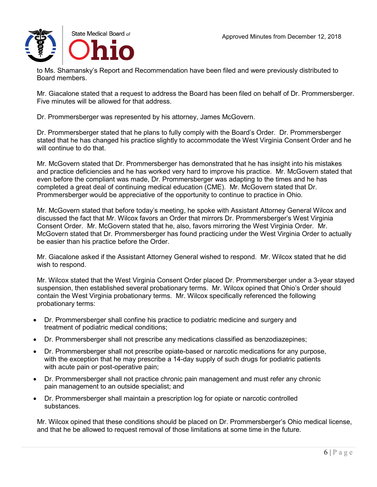

to Ms. Shamansky's Report and Recommendation have been filed and were previously distributed to Board members.

Mr. Giacalone stated that a request to address the Board has been filed on behalf of Dr. Prommersberger. Five minutes will be allowed for that address.

Dr. Prommersberger was represented by his attorney, James McGovern.

Dr. Prommersberger stated that he plans to fully comply with the Board's Order. Dr. Prommersberger stated that he has changed his practice slightly to accommodate the West Virginia Consent Order and he will continue to do that.

Mr. McGovern stated that Dr. Prommersberger has demonstrated that he has insight into his mistakes and practice deficiencies and he has worked very hard to improve his practice. Mr. McGovern stated that even before the compliant was made, Dr. Prommersberger was adapting to the times and he has completed a great deal of continuing medical education (CME). Mr. McGovern stated that Dr. Prommersberger would be appreciative of the opportunity to continue to practice in Ohio.

Mr. McGovern stated that before today's meeting, he spoke with Assistant Attorney General Wilcox and discussed the fact that Mr. Wilcox favors an Order that mirrors Dr. Prommersberger's West Virginia Consent Order. Mr. McGovern stated that he, also, favors mirroring the West Virginia Order. Mr. McGovern stated that Dr. Prommersberger has found practicing under the West Virginia Order to actually be easier than his practice before the Order.

Mr. Giacalone asked if the Assistant Attorney General wished to respond. Mr. Wilcox stated that he did wish to respond.

Mr. Wilcox stated that the West Virginia Consent Order placed Dr. Prommersberger under a 3-year stayed suspension, then established several probationary terms. Mr. Wilcox opined that Ohio's Order should contain the West Virginia probationary terms. Mr. Wilcox specifically referenced the following probationary terms:

- Dr. Prommersberger shall confine his practice to podiatric medicine and surgery and treatment of podiatric medical conditions;
- Dr. Prommersberger shall not prescribe any medications classified as benzodiazepines;
- Dr. Prommersberger shall not prescribe opiate-based or narcotic medications for any purpose, with the exception that he may prescribe a 14-day supply of such drugs for podiatric patients with acute pain or post-operative pain;
- Dr. Prommersberger shall not practice chronic pain management and must refer any chronic pain management to an outside specialist; and
- Dr. Prommersberger shall maintain a prescription log for opiate or narcotic controlled substances.

Mr. Wilcox opined that these conditions should be placed on Dr. Prommersberger's Ohio medical license, and that he be allowed to request removal of those limitations at some time in the future.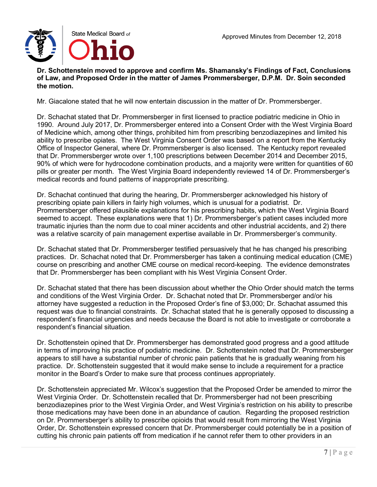**Dr. Schottenstein moved to approve and confirm Ms. Shamansky's Findings of Fact, Conclusions of Law, and Proposed Order in the matter of James Prommersberger, D.P.M. Dr. Soin seconded the motion.**

Mr. Giacalone stated that he will now entertain discussion in the matter of Dr. Prommersberger.

Dr. Schachat stated that Dr. Prommersberger in first licensed to practice podiatric medicine in Ohio in 1990. Around July 2017, Dr. Prommersberger entered into a Consent Order with the West Virginia Board of Medicine which, among other things, prohibited him from prescribing benzodiazepines and limited his ability to prescribe opiates. The West Virginia Consent Order was based on a report from the Kentucky Office of Inspector General, where Dr. Prommersberger is also licensed. The Kentucky report revealed that Dr. Prommersberger wrote over 1,100 prescriptions between December 2014 and December 2015, 90% of which were for hydrocodone combination products, and a majority were written for quantities of 60 pills or greater per month. The West Virginia Board independently reviewed 14 of Dr. Prommersberger's medical records and found patterns of inappropriate prescribing.

Dr. Schachat continued that during the hearing, Dr. Prommersberger acknowledged his history of prescribing opiate pain killers in fairly high volumes, which is unusual for a podiatrist. Dr. Prommersberger offered plausible explanations for his prescribing habits, which the West Virginia Board seemed to accept. These explanations were that 1) Dr. Prommersberger's patient cases included more traumatic injuries than the norm due to coal miner accidents and other industrial accidents, and 2) there was a relative scarcity of pain management expertise available in Dr. Prommersberger's community.

Dr. Schachat stated that Dr. Prommersberger testified persuasively that he has changed his prescribing practices. Dr. Schachat noted that Dr. Prommersberger has taken a continuing medical education (CME) course on prescribing and another CME course on medical record-keeping. The evidence demonstrates that Dr. Prommersberger has been compliant with his West Virginia Consent Order.

Dr. Schachat stated that there has been discussion about whether the Ohio Order should match the terms and conditions of the West Virginia Order. Dr. Schachat noted that Dr. Prommersberger and/or his attorney have suggested a reduction in the Proposed Order's fine of \$3,000; Dr. Schachat assumed this request was due to financial constraints. Dr. Schachat stated that he is generally opposed to discussing a respondent's financial urgencies and needs because the Board is not able to investigate or corroborate a respondent's financial situation.

Dr. Schottenstein opined that Dr. Prommersberger has demonstrated good progress and a good attitude in terms of improving his practice of podiatric medicine. Dr. Schottenstein noted that Dr. Prommersberger appears to still have a substantial number of chronic pain patients that he is gradually weaning from his practice. Dr. Schottenstein suggested that it would make sense to include a requirement for a practice monitor in the Board's Order to make sure that process continues appropriately.

Dr. Schottenstein appreciated Mr. Wilcox's suggestion that the Proposed Order be amended to mirror the West Virginia Order. Dr. Schottenstein recalled that Dr. Prommersberger had not been prescribing benzodiazepines prior to the West Virginia Order, and West Virginia's restriction on his ability to prescribe those medications may have been done in an abundance of caution. Regarding the proposed restriction on Dr. Prommersberger's ability to prescribe opioids that would result from mirroring the West Virginia Order, Dr. Schottenstein expressed concern that Dr. Prommersberger could potentially be in a position of cutting his chronic pain patients off from medication if he cannot refer them to other providers in an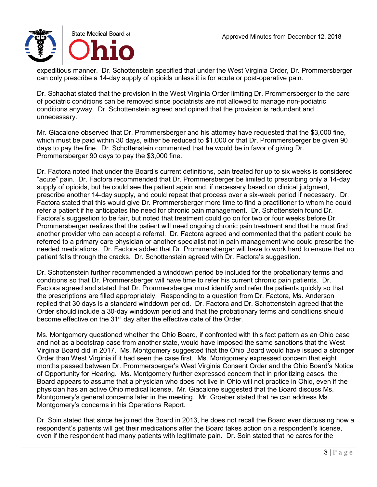expeditious manner. Dr. Schottenstein specified that under the West Virginia Order, Dr. Prommersberger can only prescribe a 14-day supply of opioids unless it is for acute or post-operative pain.

Dr. Schachat stated that the provision in the West Virginia Order limiting Dr. Prommersberger to the care of podiatric conditions can be removed since podiatrists are not allowed to manage non-podiatric conditions anyway. Dr. Schottenstein agreed and opined that the provision is redundant and unnecessary.

Mr. Giacalone observed that Dr. Prommersberger and his attorney have requested that the \$3,000 fine, which must be paid within 30 days, either be reduced to \$1,000 or that Dr. Prommersberger be given 90 days to pay the fine. Dr. Schottenstein commented that he would be in favor of giving Dr. Prommersberger 90 days to pay the \$3,000 fine.

Dr. Factora noted that under the Board's current definitions, pain treated for up to six weeks is considered "acute" pain. Dr. Factora recommended that Dr. Prommersberger be limited to prescribing only a 14-day supply of opioids, but he could see the patient again and, if necessary based on clinical judgment, prescribe another 14-day supply, and could repeat that process over a six-week period if necessary. Dr. Factora stated that this would give Dr. Prommersberger more time to find a practitioner to whom he could refer a patient if he anticipates the need for chronic pain management. Dr. Schottenstein found Dr. Factora's suggestion to be fair, but noted that treatment could go on for two or four weeks before Dr. Prommersberger realizes that the patient will need ongoing chronic pain treatment and that he must find another provider who can accept a referral. Dr. Factora agreed and commented that the patient could be referred to a primary care physician or another specialist not in pain management who could prescribe the needed medications. Dr. Factora added that Dr. Prommersberger will have to work hard to ensure that no patient falls through the cracks. Dr. Schottenstein agreed with Dr. Factora's suggestion.

Dr. Schottenstein further recommended a winddown period be included for the probationary terms and conditions so that Dr. Prommersberger will have time to refer his current chronic pain patients. Dr. Factora agreed and stated that Dr. Prommersberger must identify and refer the patients quickly so that the prescriptions are filled appropriately. Responding to a question from Dr. Factora, Ms. Anderson replied that 30 days is a standard winddown period. Dr. Factora and Dr. Schottenstein agreed that the Order should include a 30-day winddown period and that the probationary terms and conditions should become effective on the 31<sup>st</sup> day after the effective date of the Order.

Ms. Montgomery questioned whether the Ohio Board, if confronted with this fact pattern as an Ohio case and not as a bootstrap case from another state, would have imposed the same sanctions that the West Virginia Board did in 2017. Ms. Montgomery suggested that the Ohio Board would have issued a stronger Order than West Virginia if it had seen the case first. Ms. Montgomery expressed concern that eight months passed between Dr. Prommersberger's West Virginia Consent Order and the Ohio Board's Notice of Opportunity for Hearing. Ms. Montgomery further expressed concern that in prioritizing cases, the Board appears to assume that a physician who does not live in Ohio will not practice in Ohio, even if the physician has an active Ohio medical license. Mr. Giacalone suggested that the Board discuss Ms. Montgomery's general concerns later in the meeting. Mr. Groeber stated that he can address Ms. Montgomery's concerns in his Operations Report.

Dr. Soin stated that since he joined the Board in 2013, he does not recall the Board ever discussing how a respondent's patients will get their medications after the Board takes action on a respondent's license, even if the respondent had many patients with legitimate pain. Dr. Soin stated that he cares for the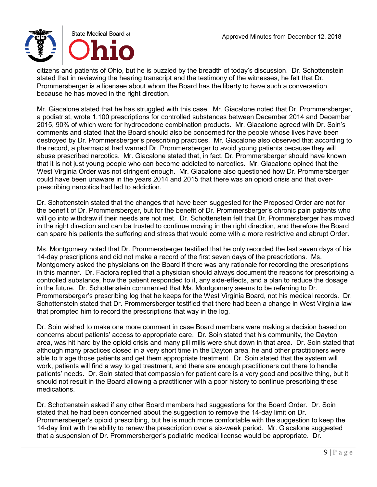citizens and patients of Ohio, but he is puzzled by the breadth of today's discussion. Dr. Schottenstein stated that in reviewing the hearing transcript and the testimony of the witnesses, he felt that Dr. Prommersberger is a licensee about whom the Board has the liberty to have such a conversation because he has moved in the right direction.

Mr. Giacalone stated that he has struggled with this case. Mr. Giacalone noted that Dr. Prommersberger, a podiatrist, wrote 1,100 prescriptions for controlled substances between December 2014 and December 2015, 90% of which were for hydrocodone combination products. Mr. Giacalone agreed with Dr. Soin's comments and stated that the Board should also be concerned for the people whose lives have been destroyed by Dr. Prommersberger's prescribing practices. Mr. Giacalone also observed that according to the record, a pharmacist had warned Dr. Prommersberger to avoid young patients because they will abuse prescribed narcotics. Mr. Giacalone stated that, in fact, Dr. Prommersberger should have known that it is not just young people who can become addicted to narcotics. Mr. Giacalone opined that the West Virginia Order was not stringent enough. Mr. Giacalone also questioned how Dr. Prommersberger could have been unaware in the years 2014 and 2015 that there was an opioid crisis and that overprescribing narcotics had led to addiction.

Dr. Schottenstein stated that the changes that have been suggested for the Proposed Order are not for the benefit of Dr. Prommersberger, but for the benefit of Dr. Prommersberger's chronic pain patients who will go into withdraw if their needs are not met. Dr. Schottenstein felt that Dr. Prommersberger has moved in the right direction and can be trusted to continue moving in the right direction, and therefore the Board can spare his patients the suffering and stress that would come with a more restrictive and abrupt Order.

Ms. Montgomery noted that Dr. Prommersberger testified that he only recorded the last seven days of his 14-day prescriptions and did not make a record of the first seven days of the prescriptions. Ms. Montgomery asked the physicians on the Board if there was any rationale for recording the prescriptions in this manner. Dr. Factora replied that a physician should always document the reasons for prescribing a controlled substance, how the patient responded to it, any side-effects, and a plan to reduce the dosage in the future. Dr. Schottenstein commented that Ms. Montgomery seems to be referring to Dr. Prommersberger's prescribing log that he keeps for the West Virginia Board, not his medical records. Dr. Schottenstein stated that Dr. Prommersberger testified that there had been a change in West Virginia law that prompted him to record the prescriptions that way in the log.

Dr. Soin wished to make one more comment in case Board members were making a decision based on concerns about patients' access to appropriate care. Dr. Soin stated that his community, the Dayton area, was hit hard by the opioid crisis and many pill mills were shut down in that area. Dr. Soin stated that although many practices closed in a very short time in the Dayton area, he and other practitioners were able to triage those patients and get them appropriate treatment. Dr. Soin stated that the system will work, patients will find a way to get treatment, and there are enough practitioners out there to handle patients' needs. Dr. Soin stated that compassion for patient care is a very good and positive thing, but it should not result in the Board allowing a practitioner with a poor history to continue prescribing these medications.

Dr. Schottenstein asked if any other Board members had suggestions for the Board Order. Dr. Soin stated that he had been concerned about the suggestion to remove the 14-day limit on Dr. Prommersberger's opioid prescribing, but he is much more comfortable with the suggestion to keep the 14-day limit with the ability to renew the prescription over a six-week period. Mr. Giacalone suggested that a suspension of Dr. Prommersberger's podiatric medical license would be appropriate. Dr.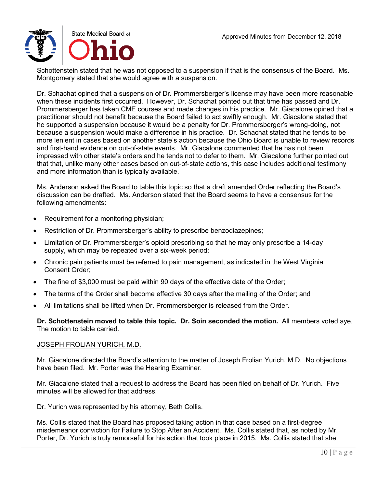Schottenstein stated that he was not opposed to a suspension if that is the consensus of the Board. Ms. Montgomery stated that she would agree with a suspension.

Dr. Schachat opined that a suspension of Dr. Prommersberger's license may have been more reasonable when these incidents first occurred. However, Dr. Schachat pointed out that time has passed and Dr. Prommersberger has taken CME courses and made changes in his practice. Mr. Giacalone opined that a practitioner should not benefit because the Board failed to act swiftly enough. Mr. Giacalone stated that he supported a suspension because it would be a penalty for Dr. Prommersberger's wrong-doing, not because a suspension would make a difference in his practice. Dr. Schachat stated that he tends to be more lenient in cases based on another state's action because the Ohio Board is unable to review records and first-hand evidence on out-of-state events. Mr. Giacalone commented that he has not been impressed with other state's orders and he tends not to defer to them. Mr. Giacalone further pointed out that that, unlike many other cases based on out-of-state actions, this case includes additional testimony and more information than is typically available.

Ms. Anderson asked the Board to table this topic so that a draft amended Order reflecting the Board's discussion can be drafted. Ms. Anderson stated that the Board seems to have a consensus for the following amendments:

- Requirement for a monitoring physician;
- Restriction of Dr. Prommersberger's ability to prescribe benzodiazepines;
- Limitation of Dr. Prommersberger's opioid prescribing so that he may only prescribe a 14-day supply, which may be repeated over a six-week period;
- Chronic pain patients must be referred to pain management, as indicated in the West Virginia Consent Order;
- The fine of \$3,000 must be paid within 90 days of the effective date of the Order;
- The terms of the Order shall become effective 30 days after the mailing of the Order; and
- All limitations shall be lifted when Dr. Prommersberger is released from the Order.

**Dr. Schottenstein moved to table this topic. Dr. Soin seconded the motion.** All members voted aye. The motion to table carried.

#### JOSEPH FROLIAN YURICH, M.D.

Mr. Giacalone directed the Board's attention to the matter of Joseph Frolian Yurich, M.D. No objections have been filed. Mr. Porter was the Hearing Examiner.

Mr. Giacalone stated that a request to address the Board has been filed on behalf of Dr. Yurich. Five minutes will be allowed for that address.

Dr. Yurich was represented by his attorney, Beth Collis.

Ms. Collis stated that the Board has proposed taking action in that case based on a first-degree misdemeanor conviction for Failure to Stop After an Accident. Ms. Collis stated that, as noted by Mr. Porter, Dr. Yurich is truly remorseful for his action that took place in 2015. Ms. Collis stated that she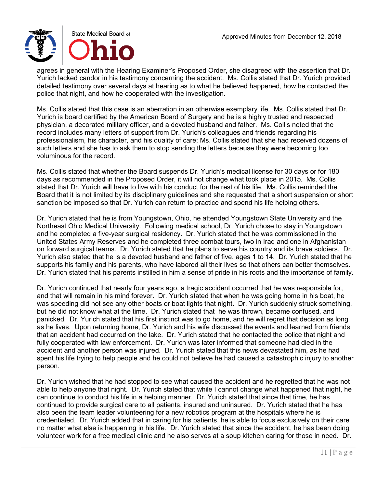

agrees in general with the Hearing Examiner's Proposed Order, she disagreed with the assertion that Dr. Yurich lacked candor in his testimony concerning the accident. Ms. Collis stated that Dr. Yurich provided detailed testimony over several days at hearing as to what he believed happened, how he contacted the police that night, and how he cooperated with the investigation.

Ms. Collis stated that this case is an aberration in an otherwise exemplary life. Ms. Collis stated that Dr. Yurich is board certified by the American Board of Surgery and he is a highly trusted and respected physician, a decorated military officer, and a devoted husband and father. Ms. Collis noted that the record includes many letters of support from Dr. Yurich's colleagues and friends regarding his professionalism, his character, and his quality of care; Ms. Collis stated that she had received dozens of such letters and she has to ask them to stop sending the letters because they were becoming too voluminous for the record.

Ms. Collis stated that whether the Board suspends Dr. Yurich's medical license for 30 days or for 180 days as recommended in the Proposed Order, it will not change what took place in 2015. Ms. Collis stated that Dr. Yurich will have to live with his conduct for the rest of his life. Ms. Collis reminded the Board that it is not limited by its disciplinary guidelines and she requested that a short suspension or short sanction be imposed so that Dr. Yurich can return to practice and spend his life helping others.

Dr. Yurich stated that he is from Youngstown, Ohio, he attended Youngstown State University and the Northeast Ohio Medical University. Following medical school, Dr. Yurich chose to stay in Youngstown and he completed a five-year surgical residency. Dr. Yurich stated that he was commissioned in the United States Army Reserves and he completed three combat tours, two in Iraq and one in Afghanistan on forward surgical teams. Dr. Yurich stated that he plans to serve his country and its brave soldiers. Dr. Yurich also stated that he is a devoted husband and father of five, ages 1 to 14. Dr. Yurich stated that he supports his family and his parents, who have labored all their lives so that others can better themselves. Dr. Yurich stated that his parents instilled in him a sense of pride in his roots and the importance of family.

Dr. Yurich continued that nearly four years ago, a tragic accident occurred that he was responsible for, and that will remain in his mind forever. Dr. Yurich stated that when he was going home in his boat, he was speeding did not see any other boats or boat lights that night. Dr. Yurich suddenly struck something, but he did not know what at the time. Dr. Yurich stated that he was thrown, became confused, and panicked. Dr. Yurich stated that his first instinct was to go home, and he will regret that decision as long as he lives. Upon returning home, Dr. Yurich and his wife discussed the events and learned from friends that an accident had occurred on the lake. Dr. Yurich stated that he contacted the police that night and fully cooperated with law enforcement. Dr. Yurich was later informed that someone had died in the accident and another person was injured. Dr. Yurich stated that this news devastated him, as he had spent his life trying to help people and he could not believe he had caused a catastrophic injury to another person.

Dr. Yurich wished that he had stopped to see what caused the accident and he regretted that he was not able to help anyone that night. Dr. Yurich stated that while I cannot change what happened that night, he can continue to conduct his life in a helping manner. Dr. Yurich stated that since that time, he has continued to provide surgical care to all patients, insured and uninsured. Dr. Yurich stated that he has also been the team leader volunteering for a new robotics program at the hospitals where he is credentialed. Dr. Yurich added that in caring for his patients, he is able to focus exclusively on their care no matter what else is happening in his life. Dr. Yurich stated that since the accident, he has been doing volunteer work for a free medical clinic and he also serves at a soup kitchen caring for those in need. Dr.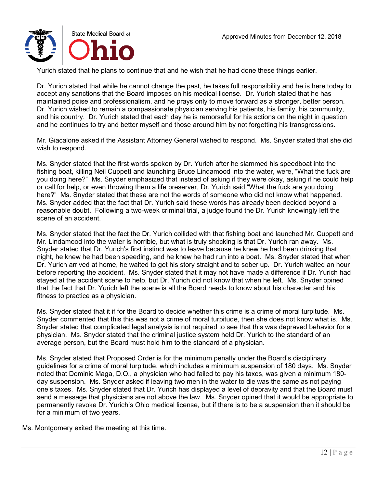

Yurich stated that he plans to continue that and he wish that he had done these things earlier.

Dr. Yurich stated that while he cannot change the past, he takes full responsibility and he is here today to accept any sanctions that the Board imposes on his medical license. Dr. Yurich stated that he has maintained poise and professionalism, and he prays only to move forward as a stronger, better person. Dr. Yurich wished to remain a compassionate physician serving his patients, his family, his community, and his country. Dr. Yurich stated that each day he is remorseful for his actions on the night in question and he continues to try and better myself and those around him by not forgetting his transgressions.

Mr. Giacalone asked if the Assistant Attorney General wished to respond. Ms. Snyder stated that she did wish to respond.

Ms. Snyder stated that the first words spoken by Dr. Yurich after he slammed his speedboat into the fishing boat, killing Neil Cuppett and launching Bruce Lindamood into the water, were, "What the fuck are you doing here?" Ms. Snyder emphasized that instead of asking if they were okay, asking if he could help or call for help, or even throwing them a life preserver, Dr. Yurich said "What the fuck are you doing here?" Ms. Snyder stated that these are not the words of someone who did not know what happened. Ms. Snyder added that the fact that Dr. Yurich said these words has already been decided beyond a reasonable doubt. Following a two-week criminal trial, a judge found the Dr. Yurich knowingly left the scene of an accident.

Ms. Snyder stated that the fact the Dr. Yurich collided with that fishing boat and launched Mr. Cuppett and Mr. Lindamood into the water is horrible, but what is truly shocking is that Dr. Yurich ran away. Ms. Snyder stated that Dr. Yurich's first instinct was to leave because he knew he had been drinking that night, he knew he had been speeding, and he knew he had run into a boat. Ms. Snyder stated that when Dr. Yurich arrived at home, he waited to get his story straight and to sober up. Dr. Yurich waited an hour before reporting the accident. Ms. Snyder stated that it may not have made a difference if Dr. Yurich had stayed at the accident scene to help, but Dr. Yurich did not know that when he left. Ms. Snyder opined that the fact that Dr. Yurich left the scene is all the Board needs to know about his character and his fitness to practice as a physician.

Ms. Snyder stated that it if for the Board to decide whether this crime is a crime of moral turpitude. Ms. Snyder commented that this this was not a crime of moral turpitude, then she does not know what is. Ms. Snyder stated that complicated legal analysis is not required to see that this was depraved behavior for a physician. Ms. Snyder stated that the criminal justice system held Dr. Yurich to the standard of an average person, but the Board must hold him to the standard of a physician.

Ms. Snyder stated that Proposed Order is for the minimum penalty under the Board's disciplinary guidelines for a crime of moral turpitude, which includes a minimum suspension of 180 days. Ms. Snyder noted that Dominic Maga, D.O., a physician who had failed to pay his taxes, was given a minimum 180 day suspension. Ms. Snyder asked if leaving two men in the water to die was the same as not paying one's taxes. Ms. Snyder stated that Dr. Yurich has displayed a level of depravity and that the Board must send a message that physicians are not above the law. Ms. Snyder opined that it would be appropriate to permanently revoke Dr. Yurich's Ohio medical license, but if there is to be a suspension then it should be for a minimum of two years.

Ms. Montgomery exited the meeting at this time.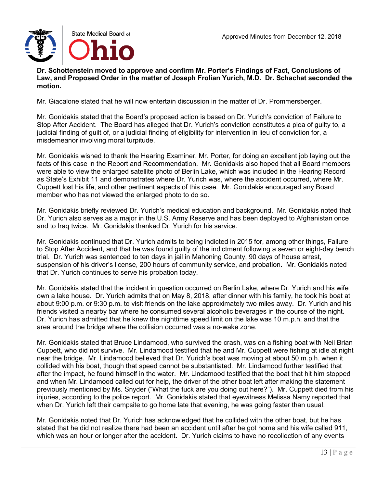**Dr. Schottenstein moved to approve and confirm Mr. Porter's Findings of Fact, Conclusions of Law, and Proposed Order in the matter of Joseph Frolian Yurich, M.D. Dr. Schachat seconded the motion.**

Mr. Giacalone stated that he will now entertain discussion in the matter of Dr. Prommersberger.

Mr. Gonidakis stated that the Board's proposed action is based on Dr. Yurich's conviction of Failure to Stop After Accident. The Board has alleged that Dr. Yurich's conviction constitutes a plea of guilty to, a judicial finding of guilt of, or a judicial finding of eligibility for intervention in lieu of conviction for, a misdemeanor involving moral turpitude.

Mr. Gonidakis wished to thank the Hearing Examiner, Mr. Porter, for doing an excellent job laying out the facts of this case in the Report and Recommendation. Mr. Gonidakis also hoped that all Board members were able to view the enlarged satellite photo of Berlin Lake, which was included in the Hearing Record as State's Exhibit 11 and demonstrates where Dr. Yurich was, where the accident occurred, where Mr. Cuppett lost his life, and other pertinent aspects of this case. Mr. Gonidakis encouraged any Board member who has not viewed the enlarged photo to do so.

Mr. Gonidakis briefly reviewed Dr. Yurich's medical education and background. Mr. Gonidakis noted that Dr. Yurich also serves as a major in the U.S. Army Reserve and has been deployed to Afghanistan once and to Iraq twice. Mr. Gonidakis thanked Dr. Yurich for his service.

Mr. Gonidakis continued that Dr. Yurich admits to being indicted in 2015 for, among other things, Failure to Stop After Accident, and that he was found guilty of the indictment following a seven or eight-day bench trial. Dr. Yurich was sentenced to ten days in jail in Mahoning County, 90 days of house arrest, suspension of his driver's license, 200 hours of community service, and probation. Mr. Gonidakis noted that Dr. Yurich continues to serve his probation today.

Mr. Gonidakis stated that the incident in question occurred on Berlin Lake, where Dr. Yurich and his wife own a lake house. Dr. Yurich admits that on May 8, 2018, after dinner with his family, he took his boat at about 9:00 p.m. or 9:30 p.m. to visit friends on the lake approximately two miles away. Dr. Yurich and his friends visited a nearby bar where he consumed several alcoholic beverages in the course of the night. Dr. Yurich has admitted that he knew the nighttime speed limit on the lake was 10 m.p.h. and that the area around the bridge where the collision occurred was a no-wake zone.

Mr. Gonidakis stated that Bruce Lindamood, who survived the crash, was on a fishing boat with Neil Brian Cuppett, who did not survive. Mr. Lindamood testified that he and Mr. Cuppett were fishing at idle at night near the bridge. Mr. Lindamood believed that Dr. Yurich's boat was moving at about 50 m.p.h. when it collided with his boat, though that speed cannot be substantiated. Mr. Lindamood further testified that after the impact, he found himself in the water. Mr. Lindamood testified that the boat that hit him stopped and when Mr. Lindamood called out for help, the driver of the other boat left after making the statement previously mentioned by Ms. Snyder ("What the fuck are you doing out here?"). Mr. Cuppett died from his injuries, according to the police report. Mr. Gonidakis stated that eyewitness Melissa Namy reported that when Dr. Yurich left their campsite to go home late that evening, he was going faster than usual.

Mr. Gonidakis noted that Dr. Yurich has acknowledged that he collided with the other boat, but he has stated that he did not realize there had been an accident until after he got home and his wife called 911, which was an hour or longer after the accident. Dr. Yurich claims to have no recollection of any events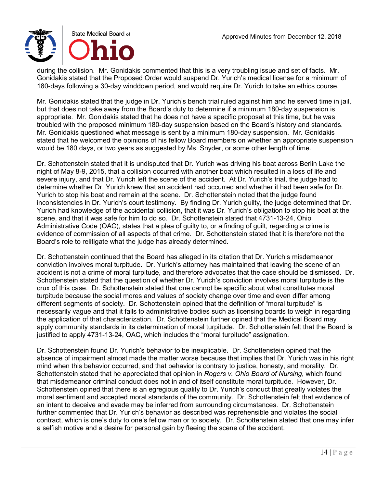

during the collision. Mr. Gonidakis commented that this is a very troubling issue and set of facts. Mr. Gonidakis stated that the Proposed Order would suspend Dr. Yurich's medical license for a minimum of 180-days following a 30-day winddown period, and would require Dr. Yurich to take an ethics course.

Mr. Gonidakis stated that the judge in Dr. Yurich's bench trial ruled against him and he served time in jail, but that does not take away from the Board's duty to determine if a minimum 180-day suspension is appropriate. Mr. Gonidakis stated that he does not have a specific proposal at this time, but he was troubled with the proposed minimum 180-day suspension based on the Board's history and standards. Mr. Gonidakis questioned what message is sent by a minimum 180-day suspension. Mr. Gonidakis stated that he welcomed the opinions of his fellow Board members on whether an appropriate suspension would be 180 days, or two years as suggested by Ms. Snyder, or some other length of time.

Dr. Schottenstein stated that it is undisputed that Dr. Yurich was driving his boat across Berlin Lake the night of May 8-9, 2015, that a collision occurred with another boat which resulted in a loss of life and severe injury, and that Dr. Yurich left the scene of the accident. At Dr. Yurich's trial, the judge had to determine whether Dr. Yurich knew that an accident had occurred and whether it had been safe for Dr. Yurich to stop his boat and remain at the scene. Dr. Schottenstein noted that the judge found inconsistencies in Dr. Yurich's court testimony. By finding Dr. Yurich guilty, the judge determined that Dr. Yurich had knowledge of the accidental collision, that it was Dr. Yurich's obligation to stop his boat at the scene, and that it was safe for him to do so. Dr. Schottenstein stated that 4731-13-24, Ohio Administrative Code (OAC), states that a plea of guilty to, or a finding of guilt, regarding a crime is evidence of commission of all aspects of that crime. Dr. Schottenstein stated that it is therefore not the Board's role to relitigate what the judge has already determined.

Dr. Schottenstein continued that the Board has alleged in its citation that Dr. Yurich's misdemeanor conviction involves moral turpitude. Dr. Yurich's attorney has maintained that leaving the scene of an accident is not a crime of moral turpitude, and therefore advocates that the case should be dismissed. Dr. Schottenstein stated that the question of whether Dr. Yurich's conviction involves moral turpitude is the crux of this case. Dr. Schottenstein stated that one cannot be specific about what constitutes moral turpitude because the social mores and values of society change over time and even differ among different segments of society. Dr. Schottenstein opined that the definition of "moral turpitude" is necessarily vague and that it falls to administrative bodies such as licensing boards to weigh in regarding the application of that characterization. Dr. Schottenstein further opined that the Medical Board may apply community standards in its determination of moral turpitude. Dr. Schottenstein felt that the Board is justified to apply 4731-13-24, OAC, which includes the "moral turpitude" assignation.

Dr. Schottenstein found Dr. Yurich's behavior to be inexplicable. Dr. Schottenstein opined that the absence of impairment almost made the matter worse because that implies that Dr. Yurich was in his right mind when this behavior occurred, and that behavior is contrary to justice, honesty, and morality. Dr. Schottenstein stated that he appreciated that opinion in *Rogers v. Ohio Board of Nursing*, which found that misdemeanor criminal conduct does not in and of itself constitute moral turpitude. However, Dr. Schottenstein opined that there is an egregious quality to Dr. Yurich's conduct that greatly violates the moral sentiment and accepted moral standards of the community. Dr. Schottenstein felt that evidence of an intent to deceive and evade may be inferred from surrounding circumstances. Dr. Schottenstein further commented that Dr. Yurich's behavior as described was reprehensible and violates the social contract, which is one's duty to one's fellow man or to society. Dr. Schottenstein stated that one may infer a selfish motive and a desire for personal gain by fleeing the scene of the accident.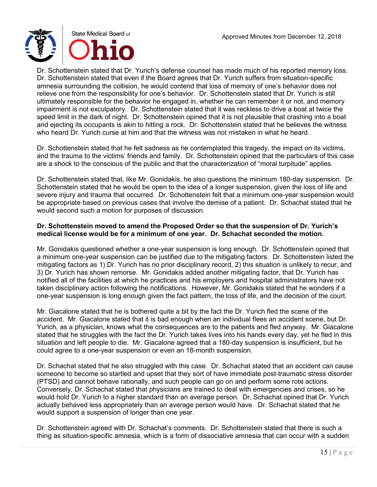Dr. Schottenstein stated that Dr. Yurich's defense counsel has made much of his reported memory loss. Dr. Schottenstein stated that even if the Board agrees that Dr. Yurich suffers from situation-specific amnesia surrounding the collision, he would contend that loss of memory of one's behavior does not relieve one from the responsibility for one's behavior. Dr. Schottenstein stated that Dr. Yurich is still ultimately responsible for the behavior he engaged in, whether he can remember it or not, and memory impairment is not exculpatory. Dr. Schottenstein stated that it was reckless to drive a boat at twice the speed limit in the dark of night. Dr. Schottenstein opined that it is not plausible that crashing into a boat and ejecting its occupants is akin to hitting a rock. Dr. Schottenstein stated that he believes the witness who heard Dr. Yurich curse at him and that the witness was not mistaken in what he heard.

Dr. Schottenstein stated that he felt sadness as he contemplated this tragedy, the impact on its victims, and the trauma to the victims' friends and family. Dr. Schottenstein opined that the particulars of this case are a shock to the conscious of the public and that the characterization of "moral turpitude" applies.

Dr. Schottenstein stated that, like Mr. Gonidakis, he also questions the minimum 180-day suspension. Dr. Schottenstein stated that he would be open to the idea of a longer suspension, given the loss of life and severe injury and trauma that occurred. Dr. Schottenstein felt that a minimum one-year suspension would be appropriate based on previous cases that involve the demise of a patient. Dr. Schachat stated that he would second such a motion for purposes of discussion.

## **Dr. Schottenstein moved to amend the Proposed Order so that the suspension of Dr. Yurich's medical license would be for a minimum of one year. Dr. Schachat seconded the motion.**

Mr. Gonidakis questioned whether a one-year suspension is long enough. Dr. Schottenstein opined that a minimum one-year suspension can be justified due to the mitigating factors. Dr. Schottenstein listed the mitigating factors as 1) Dr. Yurich has no prior disciplinary record, 2) this situation is unlikely to recur, and 3) Dr. Yurich has shown remorse. Mr. Gonidakis added another mitigating factor, that Dr. Yurich has notified all of the facilities at which he practices and his employers and hospital administrators have not taken disciplinary action following the notifications. However, Mr. Gonidakis stated that he wonders if a one-year suspension is long enough given the fact pattern, the loss of life, and the decision of the court.

Mr. Giacalone stated that he is bothered quite a bit by the fact the Dr. Yurich fled the scene of the accident. Mr. Giacalone stated that it is bad enough when an individual flees an accident scene, but Dr. Yurich, as a physician, knows what the consequences are to the patients and fled anyway. Mr. Giacalone stated that he struggles with the fact the Dr. Yurich takes lives into his hands every day, yet he fled in this situation and left people to die. Mr. Giacalone agreed that a 180-day suspension is insufficient, but he could agree to a one-year suspension or even an 18-month suspension.

Dr. Schachat stated that he also struggled with this case. Dr. Schachat stated that an accident can cause someone to become so startled and upset that they sort of have immediate post-traumatic stress disorder (PTSD) and cannot behave rationally, and such people can go on and perform some rote actions. Conversely, Dr. Schachat stated that physicians are trained to deal with emergencies and crises, so he would hold Dr. Yurich to a higher standard than an average person. Dr. Schachat opined that Dr. Yurich actually behaved less appropriately than an average person would have. Dr. Schachat stated that he would support a suspension of longer than one year.

Dr. Schottenstein agreed with Dr. Schachat's comments. Dr. Schottenstein stated that there is such a thing as situation-specific amnesia, which is a form of dissociative amnesia that can occur with a sudden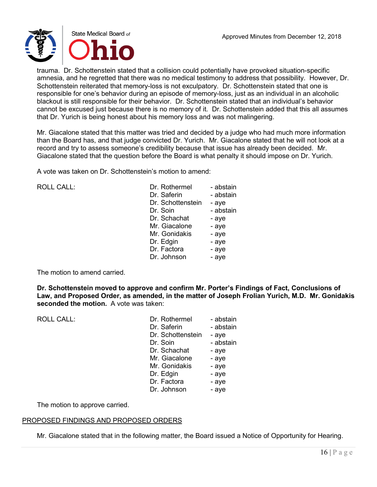

trauma. Dr. Schottenstein stated that a collision could potentially have provoked situation-specific amnesia, and he regretted that there was no medical testimony to address that possibility. However, Dr. Schottenstein reiterated that memory-loss is not exculpatory. Dr. Schottenstein stated that one is responsible for one's behavior during an episode of memory-loss, just as an individual in an alcoholic blackout is still responsible for their behavior. Dr. Schottenstein stated that an individual's behavior cannot be excused just because there is no memory of it. Dr. Schottenstein added that this all assumes that Dr. Yurich is being honest about his memory loss and was not malingering.

Mr. Giacalone stated that this matter was tried and decided by a judge who had much more information than the Board has, and that judge convicted Dr. Yurich. Mr. Giacalone stated that he will not look at a record and try to assess someone's credibility because that issue has already been decided. Mr. Giacalone stated that the question before the Board is what penalty it should impose on Dr. Yurich.

A vote was taken on Dr. Schottenstein's motion to amend:

ROLL CALL:

| Dr. Rothermel     | - abstain |
|-------------------|-----------|
| Dr. Saferin       | - abstain |
| Dr. Schottenstein | - aye     |
| Dr. Soin          | - abstain |
| Dr. Schachat      | - aye     |
| Mr. Giacalone     | - aye     |
| Mr. Gonidakis     | - aye     |
| Dr. Edgin         | - aye     |
| Dr. Factora       | - aye     |
| Dr. Johnson       | - aye     |

The motion to amend carried.

**Dr. Schottenstein moved to approve and confirm Mr. Porter's Findings of Fact, Conclusions of Law, and Proposed Order, as amended, in the matter of Joseph Frolian Yurich, M.D. Mr. Gonidakis seconded the motion.** A vote was taken:

 $ROILCAIL$ 

| Dr. Rothermel     | - abstain |
|-------------------|-----------|
| Dr. Saferin       | - abstain |
| Dr. Schottenstein | - aye     |
| Dr. Soin          | - abstain |
| Dr. Schachat      | - aye     |
| Mr. Giacalone     | - aye     |
| Mr. Gonidakis     | - aye     |
| Dr. Edgin         | - aye     |
| Dr. Factora       | - aye     |
| Dr. Johnson       | - aye     |

The motion to approve carried.

# PROPOSED FINDINGS AND PROPOSED ORDERS

Mr. Giacalone stated that in the following matter, the Board issued a Notice of Opportunity for Hearing.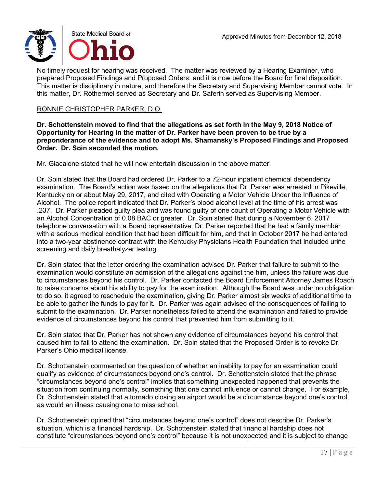

No timely request for hearing was received. The matter was reviewed by a Hearing Examiner, who prepared Proposed Findings and Proposed Orders, and it is now before the Board for final disposition. This matter is disciplinary in nature, and therefore the Secretary and Supervising Member cannot vote. In this matter, Dr. Rothermel served as Secretary and Dr. Saferin served as Supervising Member.

## RONNIE CHRISTOPHER PARKER, D.O.

**Dr. Schottenstein moved to find that the allegations as set forth in the May 9, 2018 Notice of Opportunity for Hearing in the matter of Dr. Parker have been proven to be true by a preponderance of the evidence and to adopt Ms. Shamansky's Proposed Findings and Proposed Order. Dr. Soin seconded the motion.**

Mr. Giacalone stated that he will now entertain discussion in the above matter.

Dr. Soin stated that the Board had ordered Dr. Parker to a 72-hour inpatient chemical dependency examination. The Board's action was based on the allegations that Dr. Parker was arrested in Pikeville, Kentucky on or about May 29, 2017, and cited with Operating a Motor Vehicle Under the Influence of Alcohol. The police report indicated that Dr. Parker's blood alcohol level at the time of his arrest was .237. Dr. Parker pleaded guilty plea and was found guilty of one count of Operating a Motor Vehicle with an Alcohol Concentration of 0.08 BAC or greater. Dr. Soin stated that during a November 6, 2017 telephone conversation with a Board representative, Dr. Parker reported that he had a family member with a serious medical condition that had been difficult for him, and that in October 2017 he had entered into a two-year abstinence contract with the Kentucky Physicians Health Foundation that included urine screening and daily breathalyzer testing.

Dr. Soin stated that the letter ordering the examination advised Dr. Parker that failure to submit to the examination would constitute an admission of the allegations against the him, unless the failure was due to circumstances beyond his control. Dr. Parker contacted the Board Enforcement Attorney James Roach to raise concerns about his ability to pay for the examination. Although the Board was under no obligation to do so, it agreed to reschedule the examination, giving Dr. Parker almost six weeks of additional time to be able to gather the funds to pay for it. Dr. Parker was again advised of the consequences of failing to submit to the examination. Dr. Parker nonetheless failed to attend the examination and failed to provide evidence of circumstances beyond his control that prevented him from submitting to it.

Dr. Soin stated that Dr. Parker has not shown any evidence of circumstances beyond his control that caused him to fail to attend the examination. Dr. Soin stated that the Proposed Order is to revoke Dr. Parker's Ohio medical license.

Dr. Schottenstein commented on the question of whether an inability to pay for an examination could qualify as evidence of circumstances beyond one's control. Dr. Schottenstein stated that the phrase "circumstances beyond one's control" implies that something unexpected happened that prevents the situation from continuing normally, something that one cannot influence or cannot change. For example, Dr. Schottenstein stated that a tornado closing an airport would be a circumstance beyond one's control, as would an illness causing one to miss school.

Dr. Schottenstein opined that "circumstances beyond one's control" does not describe Dr. Parker's situation, which is a financial hardship. Dr. Schottenstein stated that financial hardship does not constitute "circumstances beyond one's control" because it is not unexpected and it is subject to change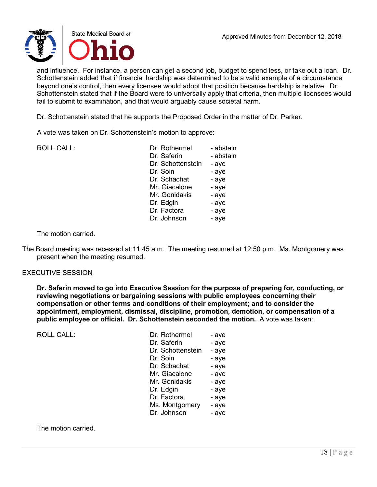

and influence. For instance, a person can get a second job, budget to spend less, or take out a loan. Dr. Schottenstein added that if financial hardship was determined to be a valid example of a circumstance beyond one's control, then every licensee would adopt that position because hardship is relative. Dr. Schottenstein stated that if the Board were to universally apply that criteria, then multiple licensees would fail to submit to examination, and that would arguably cause societal harm.

Dr. Schottenstein stated that he supports the Proposed Order in the matter of Dr. Parker.

A vote was taken on Dr. Schottenstein's motion to approve:

| <b>ROLL CALL:</b> | Dr. Rothermel     | - abstain |
|-------------------|-------------------|-----------|
|                   | Dr. Saferin       | - abstain |
|                   | Dr. Schottenstein | - aye     |
|                   | Dr. Soin          | - aye     |
|                   | Dr. Schachat      | - aye     |
|                   | Mr. Giacalone     | - aye     |
|                   | Mr. Gonidakis     | - aye     |
|                   | Dr. Edgin         | - aye     |
|                   | Dr. Factora       | - aye     |
|                   | Dr. Johnson       | - aye     |
|                   |                   |           |

The motion carried.

The Board meeting was recessed at 11:45 a.m. The meeting resumed at 12:50 p.m. Ms. Montgomery was present when the meeting resumed.

### EXECUTIVE SESSION

**Dr. Saferin moved to go into Executive Session for the purpose of preparing for, conducting, or reviewing negotiations or bargaining sessions with public employees concerning their compensation or other terms and conditions of their employment; and to consider the appointment, employment, dismissal, discipline, promotion, demotion, or compensation of a public employee or official. Dr. Schottenstein seconded the motion.** A vote was taken:

| <b>ROLL CALL:</b> | Dr. Rothermel     | - aye |
|-------------------|-------------------|-------|
|                   | Dr. Saferin       | - aye |
|                   | Dr. Schottenstein | - aye |
|                   | Dr. Soin          | - aye |
|                   | Dr. Schachat      | - aye |
|                   | Mr. Giacalone     | - aye |
|                   | Mr. Gonidakis     | - aye |
|                   | Dr. Edgin         | - aye |
|                   | Dr. Factora       | - aye |
|                   | Ms. Montgomery    | - aye |
|                   | Dr. Johnson       | - aye |
|                   |                   |       |

The motion carried.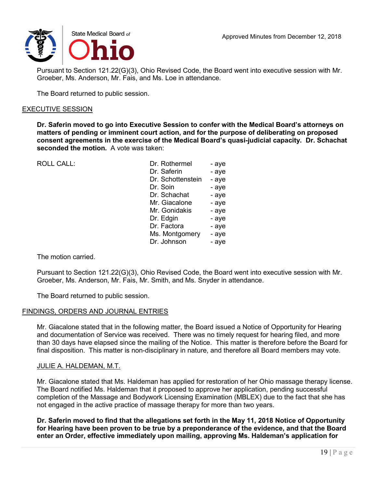

Pursuant to Section 121.22(G)(3), Ohio Revised Code, the Board went into executive session with Mr. Groeber, Ms. Anderson, Mr. Fais, and Ms. Loe in attendance.

The Board returned to public session.

### EXECUTIVE SESSION

**Dr. Saferin moved to go into Executive Session to confer with the Medical Board's attorneys on matters of pending or imminent court action, and for the purpose of deliberating on proposed consent agreements in the exercise of the Medical Board's quasi-judicial capacity. Dr. Schachat seconded the motion.** A vote was taken:

ROLL CALL:

| Dr. Rothermel     | - aye |
|-------------------|-------|
| Dr. Saferin       | - aye |
| Dr. Schottenstein | - aye |
| Dr. Soin          | - aye |
| Dr. Schachat      | - aye |
| Mr. Giacalone     | - aye |
| Mr. Gonidakis     | - aye |
| Dr. Edgin         | - aye |
| Dr. Factora       | - aye |
| Ms. Montgomery    | - aye |
| Dr. Johnson       | - aye |

The motion carried.

Pursuant to Section 121.22(G)(3), Ohio Revised Code, the Board went into executive session with Mr. Groeber, Ms. Anderson, Mr. Fais, Mr. Smith, and Ms. Snyder in attendance.

The Board returned to public session.

### FINDINGS, ORDERS AND JOURNAL ENTRIES

Mr. Giacalone stated that in the following matter, the Board issued a Notice of Opportunity for Hearing and documentation of Service was received. There was no timely request for hearing filed, and more than 30 days have elapsed since the mailing of the Notice. This matter is therefore before the Board for final disposition. This matter is non-disciplinary in nature, and therefore all Board members may vote.

### JULIE A. HALDEMAN, M.T.

Mr. Giacalone stated that Ms. Haldeman has applied for restoration of her Ohio massage therapy license. The Board notified Ms. Haldeman that it proposed to approve her application, pending successful completion of the Massage and Bodywork Licensing Examination (MBLEX) due to the fact that she has not engaged in the active practice of massage therapy for more than two years.

**Dr. Saferin moved to find that the allegations set forth in the May 11, 2018 Notice of Opportunity for Hearing have been proven to be true by a preponderance of the evidence, and that the Board enter an Order, effective immediately upon mailing, approving Ms. Haldeman's application for**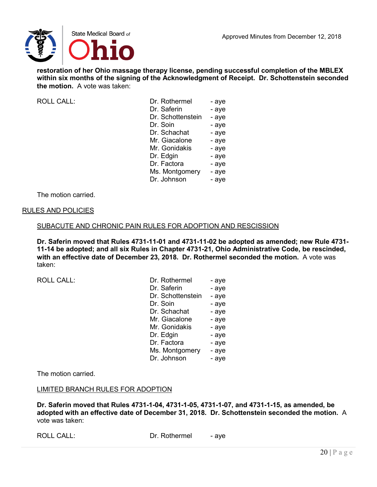

**restoration of her Ohio massage therapy license, pending successful completion of the MBLEX within six months of the signing of the Acknowledgment of Receipt. Dr. Schottenstein seconded the motion.** A vote was taken:

ROLL CALL:

| Dr. Rothermel     | - aye |
|-------------------|-------|
| Dr. Saferin       | - aye |
| Dr. Schottenstein | - aye |
| Dr. Soin          | - aye |
| Dr. Schachat      | - aye |
| Mr. Giacalone     | - aye |
| Mr. Gonidakis     | - aye |
| Dr. Edgin         | - aye |
| Dr. Factora       | - aye |
| Ms. Montgomery    | - aye |
| Dr. Johnson       | - aye |
|                   |       |

The motion carried.

### RULES AND POLICIES

### SUBACUTE AND CHRONIC PAIN RULES FOR ADOPTION AND RESCISSION

**Dr. Saferin moved that Rules 4731-11-01 and 4731-11-02 be adopted as amended; new Rule 4731- 11-14 be adopted; and all six Rules in Chapter 4731-21, Ohio Administrative Code, be rescinded, with an effective date of December 23, 2018. Dr. Rothermel seconded the motion.** A vote was taken:

ROLL CALL:

| Dr. Rothermel     | - aye |
|-------------------|-------|
| Dr. Saferin       | - aye |
| Dr. Schottenstein | - aye |
| Dr. Soin          | - aye |
| Dr. Schachat      | - aye |
| Mr. Giacalone     | - aye |
| Mr. Gonidakis     | - aye |
| Dr. Edgin         | - aye |
| Dr. Factora       | - aye |
| Ms. Montgomery    | - aye |
| Dr. Johnson       | - aye |

The motion carried.

### LIMITED BRANCH RULES FOR ADOPTION

**Dr. Saferin moved that Rules 4731-1-04, 4731-1-05, 4731-1-07, and 4731-1-15, as amended, be adopted with an effective date of December 31, 2018. Dr. Schottenstein seconded the motion.** A vote was taken:

ROLL CALL: Dr. Rothermel - aye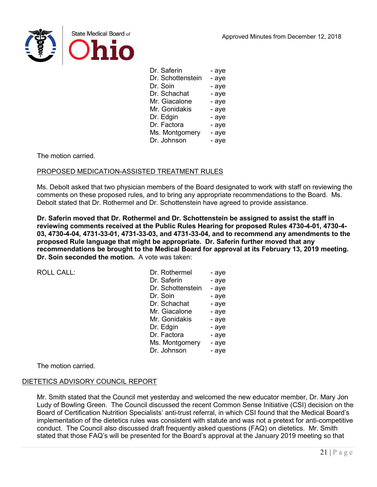

| Dr. Saferin       | - aye |
|-------------------|-------|
| Dr. Schottenstein | - aye |
| Dr. Soin          | - aye |
| Dr. Schachat      | - aye |
| Mr. Giacalone     | - aye |
| Mr. Gonidakis     | - aye |
| Dr. Edgin         | - aye |
| Dr. Factora       | - aye |
| Ms. Montgomery    | - aye |
| Dr. Johnson       | - aye |

The motion carried.

### PROPOSED MEDICATION-ASSISTED TREATMENT RULES

Ms. Debolt asked that two physician members of the Board designated to work with staff on reviewing the comments on these proposed rules, and to bring any appropriate recommendations to the Board. Ms. Debolt stated that Dr. Rothermel and Dr. Schottenstein have agreed to provide assistance.

**Dr. Saferin moved that Dr. Rothermel and Dr. Schottenstein be assigned to assist the staff in reviewing comments received at the Public Rules Hearing for proposed Rules 4730-4-01, 4730-4- 03, 4730-4-04, 4731-33-01, 4731-33-03, and 4731-33-04, and to recommend any amendments to the proposed Rule language that might be appropriate. Dr. Saferin further moved that any recommendations be brought to the Medical Board for approval at its February 13, 2019 meeting. Dr. Soin seconded the motion.** A vote was taken:

ROLL CALL:

| Dr. Rothermel     | - aye |
|-------------------|-------|
| Dr. Saferin       | - aye |
| Dr. Schottenstein | - aye |
| Dr. Soin          | - aye |
| Dr. Schachat      | - aye |
| Mr. Giacalone     | - aye |
| Mr. Gonidakis     | - aye |
| Dr. Edgin         | - aye |
| Dr. Factora       | - aye |
| Ms. Montgomery    | - aye |
| Dr. Johnson       | - aye |

The motion carried.

### DIETETICS ADVISORY COUNCIL REPORT

Mr. Smith stated that the Council met yesterday and welcomed the new educator member, Dr. Mary Jon Ludy of Bowling Green. The Council discussed the recent Common Sense Initiative (CSI) decision on the Board of Certification Nutrition Specialists' anti-trust referral, in which CSI found that the Medical Board's implementation of the dietetics rules was consistent with statute and was not a pretext for anti-competitive conduct. The Council also discussed draft frequently asked questions (FAQ) on dietetics. Mr. Smith stated that those FAQ's will be presented for the Board's approval at the January 2019 meeting so that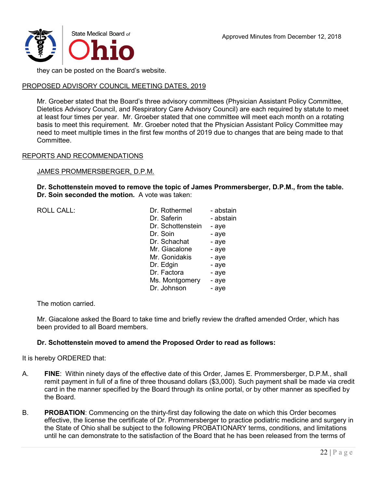

they can be posted on the Board's website.

## PROPOSED ADVISORY COUNCIL MEETING DATES, 2019

Mr. Groeber stated that the Board's three advisory committees (Physician Assistant Policy Committee, Dietetics Advisory Council, and Respiratory Care Advisory Council) are each required by statute to meet at least four times per year. Mr. Groeber stated that one committee will meet each month on a rotating basis to meet this requirement. Mr. Groeber noted that the Physician Assistant Policy Committee may need to meet multiple times in the first few months of 2019 due to changes that are being made to that Committee.

### REPORTS AND RECOMMENDATIONS

### JAMES PROMMERSBERGER, D.P.M.

**Dr. Schottenstein moved to remove the topic of James Prommersberger, D.P.M., from the table. Dr. Soin seconded the motion.** A vote was taken:

 $ROILCAIL$ :

| Dr. Rothermel     | - abstain |
|-------------------|-----------|
| Dr. Saferin       | - abstain |
| Dr. Schottenstein | - aye     |
| Dr. Soin          | - aye     |
| Dr. Schachat      | - aye     |
| Mr. Giacalone     | - aye     |
| Mr. Gonidakis     | - aye     |
| Dr. Edgin         | - aye     |
| Dr. Factora       | - aye     |
| Ms. Montgomery    | - aye     |
| Dr. Johnson       | - aye     |
|                   |           |

The motion carried.

Mr. Giacalone asked the Board to take time and briefly review the drafted amended Order, which has been provided to all Board members.

## **Dr. Schottenstein moved to amend the Proposed Order to read as follows:**

It is hereby ORDERED that:

- A. **FINE**: Within ninety days of the effective date of this Order, James E. Prommersberger, D.P.M., shall remit payment in full of a fine of three thousand dollars (\$3,000). Such payment shall be made via credit card in the manner specified by the Board through its online portal, or by other manner as specified by the Board.
- B. **PROBATION**: Commencing on the thirty-first day following the date on which this Order becomes effective, the license the certificate of Dr. Prommersberger to practice podiatric medicine and surgery in the State of Ohio shall be subject to the following PROBATIONARY terms, conditions, and limitations until he can demonstrate to the satisfaction of the Board that he has been released from the terms of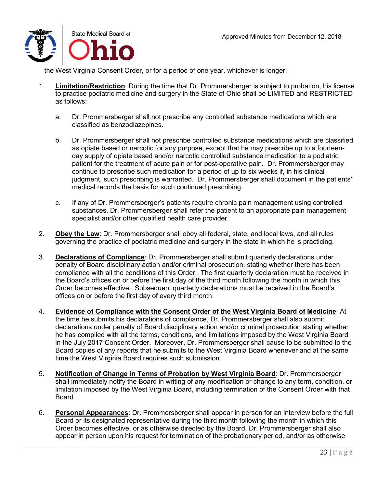

the West Virginia Consent Order, or for a period of one year, whichever is longer:

- 1. **Limitation/Restriction**: During the time that Dr. Prommersberger is subject to probation, his license to practice podiatric medicine and surgery in the State of Ohio shall be LIMITED and RESTRICTED as follows:
	- a. Dr. Prommersberger shall not prescribe any controlled substance medications which are classified as benzodiazepines.
	- b. Dr. Prommersberger shall not prescribe controlled substance medications which are classified as opiate based or narcotic for any purpose, except that he may prescribe up to a fourteenday supply of opiate based and/or narcotic controlled substance medication to a podiatric patient for the treatment of acute pain or for post-operative pain. Dr. Prommersberger may continue to prescribe such medication for a period of up to six weeks if, in his clinical judgment, such prescribing is warranted. Dr. Prommersberger shall document in the patients' medical records the basis for such continued prescribing.
	- c. If any of Dr. Prommersberger's patients require chronic pain management using controlled substances, Dr. Prommersberger shall refer the patient to an appropriate pain management specialist and/or other qualified health care provider.
- 2. **Obey the Law**: Dr. Prommersberger shall obey all federal, state, and local laws, and all rules governing the practice of podiatric medicine and surgery in the state in which he is practicing.
- 3. **Declarations of Compliance**: Dr. Prommersberger shall submit quarterly declarations under penalty of Board disciplinary action and/or criminal prosecution, stating whether there has been compliance with all the conditions of this Order. The first quarterly declaration must be received in the Board's offices on or before the first day of the third month following the month in which this Order becomes effective. Subsequent quarterly declarations must be received in the Board's offices on or before the first day of every third month.
- 4. **Evidence of Compliance with the Consent Order of the West Virginia Board of Medicine**: At the time he submits his declarations of compliance, Dr. Prommersberger shall also submit declarations under penalty of Board disciplinary action and/or criminal prosecution stating whether he has complied with all the terms, conditions, and limitations imposed by the West Virginia Board in the July 2017 Consent Order. Moreover, Dr. Prommersberger shall cause to be submitted to the Board copies of any reports that he submits to the West Virginia Board whenever and at the same time the West Virginia Board requires such submission.
- 5. **Notification of Change in Terms of Probation by West Virginia Board**: Dr. Prommersberger shall immediately notify the Board in writing of any modification or change to any term, condition, or limitation imposed by the West Virginia Board, including termination of the Consent Order with that Board.
- 6. **Personal Appearances**: Dr. Prommersberger shall appear in person for an interview before the full Board or its designated representative during the third month following the month in which this Order becomes effective, or as otherwise directed by the Board. Dr. Prommersberger shall also appear in person upon his request for termination of the probationary period, and/or as otherwise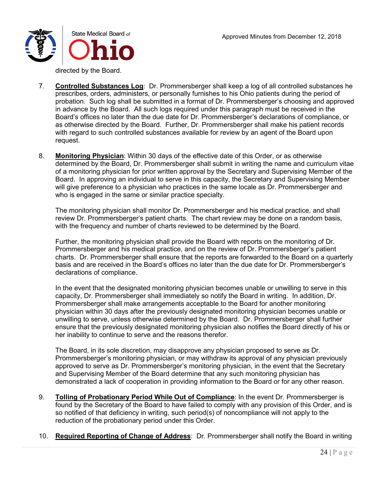

directed by the Board.

- 7. **Controlled Substances Log**: Dr. Prommersberger shall keep a log of all controlled substances he prescribes, orders, administers, or personally furnishes to his Ohio patients during the period of probation. Such log shall be submitted in a format of Dr. Prommersberger's choosing and approved in advance by the Board. All such logs required under this paragraph must be received in the Board's offices no later than the due date for Dr. Prommersberger's declarations of compliance, or as otherwise directed by the Board. Further, Dr. Prommersberger shall make his patient records with regard to such controlled substances available for review by an agent of the Board upon request.
- 8. **Monitoring Physician**: Within 30 days of the effective date of this Order, or as otherwise determined by the Board, Dr. Prommersberger shall submit in writing the name and curriculum vitae of a monitoring physician for prior written approval by the Secretary and Supervising Member of the Board. In approving an individual to serve in this capacity, the Secretary and Supervising Member will give preference to a physician who practices in the same locale as Dr. Prommersberger and who is engaged in the same or similar practice specialty.

The monitoring physician shall monitor Dr. Prommersberger and his medical practice, and shall review Dr. Prommersberger's patient charts. The chart review may be done on a random basis, with the frequency and number of charts reviewed to be determined by the Board.

Further, the monitoring physician shall provide the Board with reports on the monitoring of Dr. Prommersberger and his medical practice, and on the review of Dr. Prommersberger's patient charts. Dr. Prommersberger shall ensure that the reports are forwarded to the Board on a quarterly basis and are received in the Board's offices no later than the due date for Dr. Prommersberger's declarations of compliance.

In the event that the designated monitoring physician becomes unable or unwilling to serve in this capacity, Dr. Prommersberger shall immediately so notify the Board in writing. In addition, Dr. Prommersberger shall make arrangements acceptable to the Board for another monitoring physician within 30 days after the previously designated monitoring physician becomes unable or unwilling to serve, unless otherwise determined by the Board. Dr. Prommersberger shall further ensure that the previously designated monitoring physician also notifies the Board directly of his or her inability to continue to serve and the reasons therefor.

The Board, in its sole discretion, may disapprove any physician proposed to serve as Dr. Prommersberger's monitoring physician, or may withdraw its approval of any physician previously approved to serve as Dr. Prommersberger's monitoring physician, in the event that the Secretary and Supervising Member of the Board determine that any such monitoring physician has demonstrated a lack of cooperation in providing information to the Board or for any other reason.

- 9. **Tolling of Probationary Period While Out of Compliance**: In the event Dr. Prommersberger is found by the Secretary of the Board to have failed to comply with any provision of this Order, and is so notified of that deficiency in writing, such period(s) of noncompliance will not apply to the reduction of the probationary period under this Order.
- 10. **Required Reporting of Change of Address**: Dr. Prommersberger shall notify the Board in writing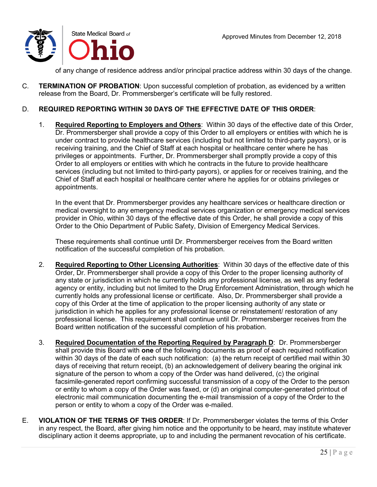of any change of residence address and/or principal practice address within 30 days of the change.

C. **TERMINATION OF PROBATION**: Upon successful completion of probation, as evidenced by a written release from the Board, Dr. Prommersberger's certificate will be fully restored.

### D. **REQUIRED REPORTING WITHIN 30 DAYS OF THE EFFECTIVE DATE OF THIS ORDER**:

1. **Required Reporting to Employers and Others**: Within 30 days of the effective date of this Order, Dr. Prommersberger shall provide a copy of this Order to all employers or entities with which he is under contract to provide healthcare services (including but not limited to third-party payors), or is receiving training, and the Chief of Staff at each hospital or healthcare center where he has privileges or appointments. Further, Dr. Prommersberger shall promptly provide a copy of this Order to all employers or entities with which he contracts in the future to provide healthcare services (including but not limited to third-party payors), or applies for or receives training, and the Chief of Staff at each hospital or healthcare center where he applies for or obtains privileges or appointments.

In the event that Dr. Prommersberger provides any healthcare services or healthcare direction or medical oversight to any emergency medical services organization or emergency medical services provider in Ohio, within 30 days of the effective date of this Order, he shall provide a copy of this Order to the Ohio Department of Public Safety, Division of Emergency Medical Services.

These requirements shall continue until Dr. Prommersberger receives from the Board written notification of the successful completion of his probation.

- 2. **Required Reporting to Other Licensing Authorities**: Within 30 days of the effective date of this Order, Dr. Prommersberger shall provide a copy of this Order to the proper licensing authority of any state or jurisdiction in which he currently holds any professional license, as well as any federal agency or entity, including but not limited to the Drug Enforcement Administration, through which he currently holds any professional license or certificate. Also, Dr. Prommersberger shall provide a copy of this Order at the time of application to the proper licensing authority of any state or jurisdiction in which he applies for any professional license or reinstatement/ restoration of any professional license. This requirement shall continue until Dr. Prommersberger receives from the Board written notification of the successful completion of his probation.
- 3. **Required Documentation of the Reporting Required by Paragraph D**: Dr. Prommersberger shall provide this Board with **one** of the following documents as proof of each required notification within 30 days of the date of each such notification: (a) the return receipt of certified mail within 30 days of receiving that return receipt, (b) an acknowledgement of delivery bearing the original ink signature of the person to whom a copy of the Order was hand delivered, (c) the original facsimile-generated report confirming successful transmission of a copy of the Order to the person or entity to whom a copy of the Order was faxed, or (d) an original computer-generated printout of electronic mail communication documenting the e-mail transmission of a copy of the Order to the person or entity to whom a copy of the Order was e-mailed.
- E. **VIOLATION OF THE TERMS OF THIS ORDER**: If Dr. Prommersberger violates the terms of this Order in any respect, the Board, after giving him notice and the opportunity to be heard, may institute whatever disciplinary action it deems appropriate, up to and including the permanent revocation of his certificate.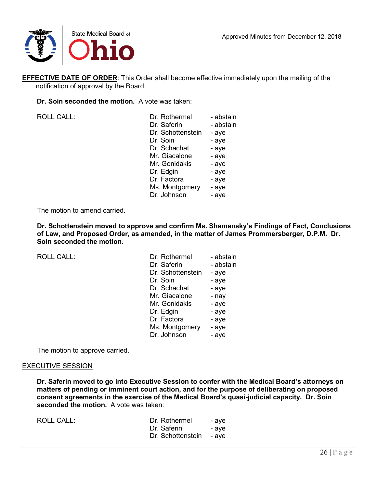

**EFFECTIVE DATE OF ORDER:** This Order shall become effective immediately upon the mailing of the notification of approval by the Board.

**Dr. Soin seconded the motion.** A vote was taken:

ROLL CALL:

| Dr. Rothermel     | - abstain |
|-------------------|-----------|
| Dr. Saferin       | - abstain |
| Dr. Schottenstein | - aye     |
| Dr. Soin          | - aye     |
| Dr. Schachat      | - aye     |
| Mr. Giacalone     | - aye     |
| Mr. Gonidakis     | - aye     |
| Dr. Edgin         | - aye     |
| Dr. Factora       | - aye     |
| Ms. Montgomery    | - aye     |
| Dr. Johnson       | - aye     |
|                   |           |

The motion to amend carried.

**Dr. Schottenstein moved to approve and confirm Ms. Shamansky's Findings of Fact, Conclusions of Law, and Proposed Order, as amended, in the matter of James Prommersberger, D.P.M. Dr. Soin seconded the motion.**

 $ROILCAIL$ :

| Dr. Rothermel     | - abstain |
|-------------------|-----------|
| Dr. Saferin       | - abstain |
| Dr. Schottenstein | - aye     |
| Dr. Soin          | - aye     |
| Dr. Schachat      | - aye     |
| Mr. Giacalone     | - nay     |
| Mr. Gonidakis     | - aye     |
| Dr. Edgin         | - aye     |
| Dr. Factora       | - aye     |
| Ms. Montgomery    | - aye     |
| Dr. Johnson       | - aye     |

The motion to approve carried.

### EXECUTIVE SESSION

**Dr. Saferin moved to go into Executive Session to confer with the Medical Board's attorneys on matters of pending or imminent court action, and for the purpose of deliberating on proposed consent agreements in the exercise of the Medical Board's quasi-judicial capacity. Dr. Soin seconded the motion.** A vote was taken:

| <b>ROLL CALL:</b> | Dr. Rothermel           | - ave |
|-------------------|-------------------------|-------|
|                   | Dr. Saferin             | - ave |
|                   | Dr. Schottenstein - aye |       |
|                   |                         |       |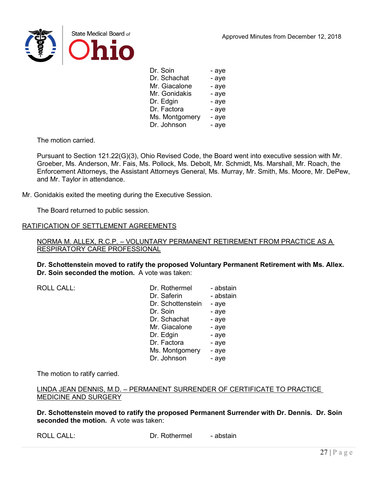

Dr. Soin - aye Dr. Schachat - aye Mr. Giacalone - aye Mr. Gonidakis - aye Dr. Edgin - aye Dr. Factora - aye Ms. Montgomery - aye Dr. Johnson - aye

The motion carried.

Pursuant to Section 121.22(G)(3), Ohio Revised Code, the Board went into executive session with Mr. Groeber, Ms. Anderson, Mr. Fais, Ms. Pollock, Ms. Debolt, Mr. Schmidt, Ms. Marshall, Mr. Roach, the Enforcement Attorneys, the Assistant Attorneys General, Ms. Murray, Mr. Smith, Ms. Moore, Mr. DePew, and Mr. Taylor in attendance.

Mr. Gonidakis exited the meeting during the Executive Session.

The Board returned to public session.

### RATIFICATION OF SETTLEMENT AGREEMENTS

NORMA M. ALLEX, R.C.P. – VOLUNTARY PERMANENT RETIREMENT FROM PRACTICE AS A RESPIRATORY CARE PROFESSIONAL

**Dr. Schottenstein moved to ratify the proposed Voluntary Permanent Retirement with Ms. Allex. Dr. Soin seconded the motion.** A vote was taken:

ROLL CALL:

| - abstain |
|-----------|
| - abstain |
| - aye     |
| - aye     |
| - aye     |
| - aye     |
| - aye     |
| - aye     |
| - aye     |
| - aye     |
|           |

The motion to ratify carried.

LINDA JEAN DENNIS, M.D. – PERMANENT SURRENDER OF CERTIFICATE TO PRACTICE MEDICINE AND SURGERY

**Dr. Schottenstein moved to ratify the proposed Permanent Surrender with Dr. Dennis. Dr. Soin seconded the motion.** A vote was taken: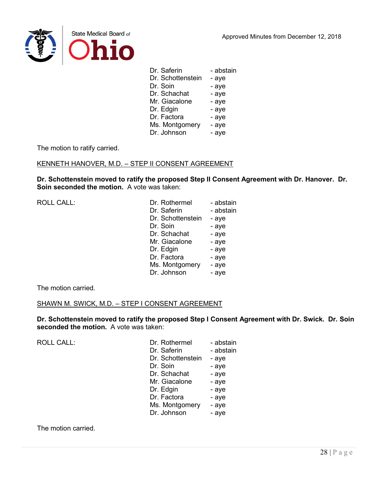

| - abstain |
|-----------|
| - aye     |
| - aye     |
| - aye     |
| - aye     |
| - aye     |
| - aye     |
| - aye     |
| - aye     |
|           |

The motion to ratify carried.

## KENNETH HANOVER, M.D. – STEP II CONSENT AGREEMENT

**Dr. Schottenstein moved to ratify the proposed Step II Consent Agreement with Dr. Hanover. Dr. Soin seconded the motion.** A vote was taken:

| <b>ROLL CALL:</b> | Dr. Rothermel     | - abstain |
|-------------------|-------------------|-----------|
|                   | Dr. Saferin       | - abstain |
|                   | Dr. Schottenstein | - aye     |
|                   | Dr. Soin          | - aye     |
|                   | Dr. Schachat      | - aye     |
|                   | Mr. Giacalone     | - aye     |
|                   | Dr. Edgin         | - aye     |
|                   | Dr. Factora       | - aye     |
|                   | Ms. Montgomery    | - aye     |
|                   | Dr. Johnson       | - aye     |

The motion carried.

### SHAWN M. SWICK, M.D. – STEP I CONSENT AGREEMENT

**Dr. Schottenstein moved to ratify the proposed Step I Consent Agreement with Dr. Swick. Dr. Soin seconded the motion.** A vote was taken:

| <b>ROLL CALL:</b> | Dr. Rothermel     | - abstain |
|-------------------|-------------------|-----------|
|                   | Dr. Saferin       | - abstain |
|                   | Dr. Schottenstein | - aye     |
|                   | Dr. Soin          | - aye     |
|                   | Dr. Schachat      | - aye     |
|                   | Mr. Giacalone     | - aye     |
|                   | Dr. Edgin         | - aye     |
|                   | Dr. Factora       | - aye     |
|                   | Ms. Montgomery    | - aye     |
|                   | Dr. Johnson       | - aye     |
|                   |                   |           |

The motion carried.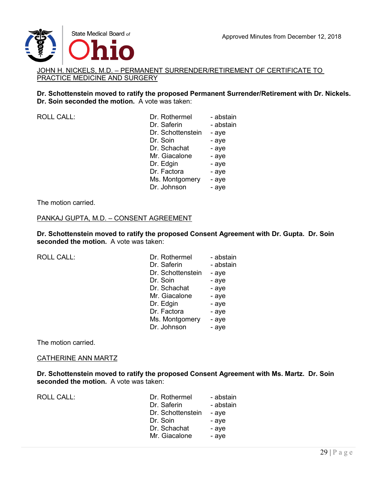

### JOHN H. NICKELS, M.D. – PERMANENT SURRENDER/RETIREMENT OF CERTIFICATE TO PRACTICE MEDICINE AND SURGERY

### **Dr. Schottenstein moved to ratify the proposed Permanent Surrender/Retirement with Dr. Nickels. Dr. Soin seconded the motion.** A vote was taken:

| <b>ROLL CALL:</b> | Dr. Rothermel     | - abstain |
|-------------------|-------------------|-----------|
|                   | Dr. Saferin       | - abstain |
|                   | Dr. Schottenstein | - aye     |
|                   | Dr. Soin          | - aye     |
|                   | Dr. Schachat      | - aye     |
|                   | Mr. Giacalone     | - aye     |
|                   | Dr. Edgin         | - aye     |
|                   | Dr. Factora       | - aye     |
|                   | Ms. Montgomery    | - aye     |
|                   | Dr. Johnson       | - aye     |
|                   |                   |           |

#### The motion carried.

### PANKAJ GUPTA, M.D. – CONSENT AGREEMENT

**Dr. Schottenstein moved to ratify the proposed Consent Agreement with Dr. Gupta. Dr. Soin seconded the motion.** A vote was taken:

ROLL CALL:

| Dr. Rothermel     | - abstain |
|-------------------|-----------|
| Dr. Saferin       | - abstain |
| Dr. Schottenstein | - aye     |
| Dr. Soin          | - aye     |
| Dr. Schachat      | - aye     |
| Mr. Giacalone     | - aye     |
| Dr. Edgin         | - aye     |
| Dr. Factora       | - aye     |
| Ms. Montgomery    | - aye     |
| Dr. Johnson       | - aye     |

The motion carried.

#### CATHERINE ANN MARTZ

**Dr. Schottenstein moved to ratify the proposed Consent Agreement with Ms. Martz. Dr. Soin seconded the motion.** A vote was taken:

ROLL CALL:

| Dr. Rothermel     | - abstain |
|-------------------|-----------|
| Dr. Saferin       | - abstain |
| Dr. Schottenstein | - aye     |
| Dr. Soin          | - aye     |
| Dr. Schachat      | - aye     |
| Mr. Giacalone     | - aye     |
|                   |           |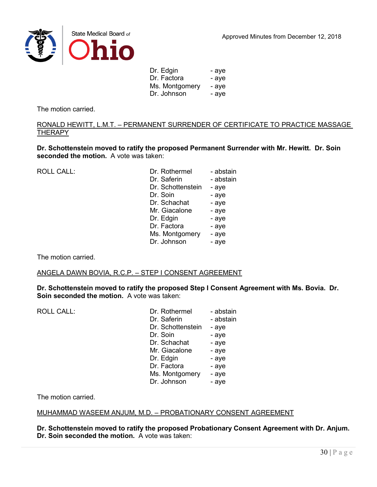



Dr. Edgin - aye Dr. Factora - aye Ms. Montgomery - aye Dr. Johnson - aye

The motion carried.

RONALD HEWITT, L.M.T. – PERMANENT SURRENDER OF CERTIFICATE TO PRACTICE MASSAGE THERAPY

**Dr. Schottenstein moved to ratify the proposed Permanent Surrender with Mr. Hewitt. Dr. Soin seconded the motion.** A vote was taken:

| <b>ROLL CALL:</b> | Dr. Rothermel     | - abstain |
|-------------------|-------------------|-----------|
|                   | Dr. Saferin       | - abstain |
|                   | Dr. Schottenstein | - aye     |
|                   |                   |           |
|                   | Dr. Soin          | - aye     |
|                   | Dr. Schachat      | - aye     |
|                   | Mr. Giacalone     | - aye     |
|                   | Dr. Edgin         | - aye     |
|                   | Dr. Factora       | - aye     |
|                   | Ms. Montgomery    | - aye     |
|                   | Dr. Johnson       | - aye     |
|                   |                   |           |

The motion carried.

### ANGELA DAWN BOVIA, R.C.P. – STEP I CONSENT AGREEMENT

**Dr. Schottenstein moved to ratify the proposed Step I Consent Agreement with Ms. Bovia. Dr. Soin seconded the motion.** A vote was taken:

| Dr. Rothermel     | - abstain |
|-------------------|-----------|
| Dr. Saferin       | - abstain |
| Dr. Schottenstein | - aye     |
| Dr. Soin          | - aye     |
| Dr. Schachat      | - aye     |
| Mr. Giacalone     | - aye     |
| Dr. Edgin         | - aye     |
| Dr. Factora       | - aye     |
| Ms. Montgomery    | - aye     |
| Dr. Johnson       | - aye     |
|                   |           |

The motion carried.

### MUHAMMAD WASEEM ANJUM, M.D. – PROBATIONARY CONSENT AGREEMENT

**Dr. Schottenstein moved to ratify the proposed Probationary Consent Agreement with Dr. Anjum. Dr. Soin seconded the motion.** A vote was taken: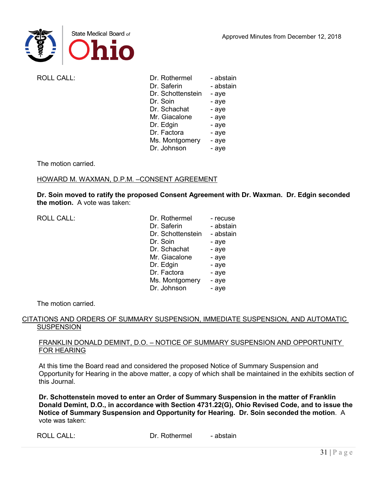

ROLL CALL:

| Dr. Rothermel     | - abstain |
|-------------------|-----------|
| Dr. Saferin       | - abstain |
| Dr. Schottenstein | - aye     |
| Dr. Soin          | - aye     |
| Dr. Schachat      | - aye     |
| Mr. Giacalone     | - aye     |
| Dr. Edgin         | - aye     |
| Dr. Factora       | - aye     |
| Ms. Montgomery    | - aye     |
| Dr. Johnson       | - aye     |
|                   |           |

The motion carried.

## HOWARD M. WAXMAN, D.P.M. –CONSENT AGREEMENT

**Dr. Soin moved to ratify the proposed Consent Agreement with Dr. Waxman. Dr. Edgin seconded the motion.** A vote was taken:

| <b>ROLL CALL:</b> | Dr. Rothermel     | - recuse  |
|-------------------|-------------------|-----------|
|                   | Dr. Saferin       | - abstain |
|                   | Dr. Schottenstein | - abstain |
|                   | Dr. Soin          | - aye     |
|                   | Dr. Schachat      | - aye     |
|                   | Mr. Giacalone     | - aye     |
|                   | Dr. Edgin         | - aye     |
|                   | Dr. Factora       | - aye     |
|                   | Ms. Montgomery    | - aye     |
|                   | Dr. Johnson       | - aye     |

The motion carried.

## CITATIONS AND ORDERS OF SUMMARY SUSPENSION, IMMEDIATE SUSPENSION, AND AUTOMATIC **SUSPENSION**

### FRANKLIN DONALD DEMINT, D.O. – NOTICE OF SUMMARY SUSPENSION AND OPPORTUNITY FOR HEARING

At this time the Board read and considered the proposed Notice of Summary Suspension and Opportunity for Hearing in the above matter, a copy of which shall be maintained in the exhibits section of this Journal.

**Dr. Schottenstein moved to enter an Order of Summary Suspension in the matter of Franklin Donald Demint, D.O., in accordance with Section 4731.22(G), Ohio Revised Code, and to issue the Notice of Summary Suspension and Opportunity for Hearing. Dr. Soin seconded the motion**. A vote was taken:

ROLL CALL: Dr. Rothermel - abstain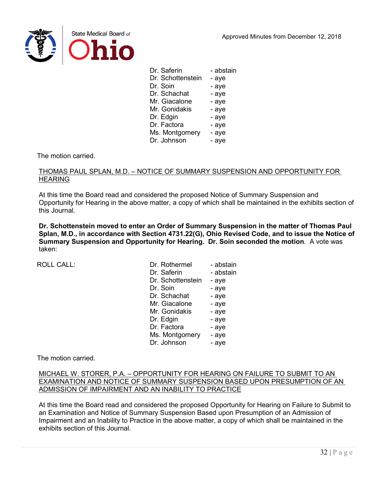

| - abstain |
|-----------|
| - aye     |
| - aye     |
| - aye     |
| - aye     |
| - aye     |
| - aye     |
| - aye     |
| - aye     |
| - aye     |
|           |

The motion carried.

### THOMAS PAUL SPLAN, M.D. – NOTICE OF SUMMARY SUSPENSION AND OPPORTUNITY FOR **HEARING**

At this time the Board read and considered the proposed Notice of Summary Suspension and Opportunity for Hearing in the above matter, a copy of which shall be maintained in the exhibits section of this Journal.

**Dr. Schottenstein moved to enter an Order of Summary Suspension in the matter of Thomas Paul Splan, M.D., in accordance with Section 4731.22(G), Ohio Revised Code, and to issue the Notice of Summary Suspension and Opportunity for Hearing. Dr. Soin seconded the motion**. A vote was taken:

| <b>ROLL CALL:</b> | Dr. Rothermel     | - abstain |
|-------------------|-------------------|-----------|
|                   | Dr. Saferin       | - abstain |
|                   | Dr. Schottenstein | - aye     |
|                   | Dr. Soin          | - aye     |
|                   | Dr. Schachat      | - aye     |
|                   | Mr. Giacalone     | - aye     |
|                   | Mr. Gonidakis     | - aye     |
|                   | Dr. Edgin         | - aye     |
|                   | Dr. Factora       | - aye     |
|                   | Ms. Montgomery    | - aye     |
|                   | Dr. Johnson       | - aye     |

The motion carried.

### MICHAEL W. STORER, P.A. – OPPORTUNITY FOR HEARING ON FAILURE TO SUBMIT TO AN EXAMINATION AND NOTICE OF SUMMARY SUSPENSION BASED UPON PRESUMPTION OF AN ADMISSION OF IMPAIRMENT AND AN INABILITY TO PRACTICE

At this time the Board read and considered the proposed Opportunity for Hearing on Failure to Submit to an Examination and Notice of Summary Suspension Based upon Presumption of an Admission of Impairment and an Inability to Practice in the above matter, a copy of which shall be maintained in the exhibits section of this Journal.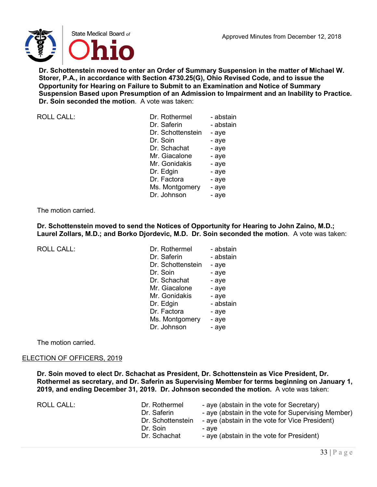

**Dr. Schottenstein moved to enter an Order of Summary Suspension in the matter of Michael W. Storer, P.A., in accordance with Section 4730.25(G), Ohio Revised Code, and to issue the Opportunity for Hearing on Failure to Submit to an Examination and Notice of Summary Suspension Based upon Presumption of an Admission to Impairment and an Inability to Practice. Dr. Soin seconded the motion**. A vote was taken:

| <b>ROLL CALL:</b> | Dr. Rothermel     | - abstain |
|-------------------|-------------------|-----------|
|                   | Dr. Saferin       | - abstain |
|                   | Dr. Schottenstein | - aye     |
|                   | Dr. Soin          | - aye     |
|                   | Dr. Schachat      | - aye     |
|                   | Mr. Giacalone     | - aye     |
|                   | Mr. Gonidakis     | - aye     |
|                   | Dr. Edgin         | - aye     |
|                   | Dr. Factora       | - aye     |
|                   | Ms. Montgomery    | - aye     |
|                   | Dr. Johnson       | - aye     |
|                   |                   |           |

### The motion carried.

**Dr. Schottenstein moved to send the Notices of Opportunity for Hearing to John Zaino, M.D.; Laurel Zollars, M.D.; and Borko Djordevic, M.D. Dr. Soin seconded the motion**. A vote was taken:

ROLL CALL:

| Dr. Rothermel     | - abstain |
|-------------------|-----------|
| Dr. Saferin       | - abstain |
| Dr. Schottenstein | - aye     |
| Dr. Soin          | - aye     |
| Dr. Schachat      | - aye     |
| Mr. Giacalone     | - aye     |
| Mr. Gonidakis     | - aye     |
| Dr. Edgin         | - abstain |
| Dr. Factora       | - aye     |
| Ms. Montgomery    | - aye     |
| Dr. Johnson       | - aye     |

The motion carried.

### ELECTION OF OFFICERS, 2019

**Dr. Soin moved to elect Dr. Schachat as President, Dr. Schottenstein as Vice President, Dr. Rothermel as secretary, and Dr. Saferin as Supervising Member for terms beginning on January 1, 2019, and ending December 31, 2019. Dr. Johnson seconded the motion.** A vote was taken:

| ROLL CALL:<br>Dr. Rothermel<br>Dr. Saferin<br>Dr. Schottenstein<br>Dr. Soin<br>Dr. Schachat | - aye (abstain in the vote for Secretary)<br>- aye (abstain in the vote for Supervising Member)<br>- aye (abstain in the vote for Vice President)<br>- ave<br>- aye (abstain in the vote for President) |
|---------------------------------------------------------------------------------------------|---------------------------------------------------------------------------------------------------------------------------------------------------------------------------------------------------------|
|---------------------------------------------------------------------------------------------|---------------------------------------------------------------------------------------------------------------------------------------------------------------------------------------------------------|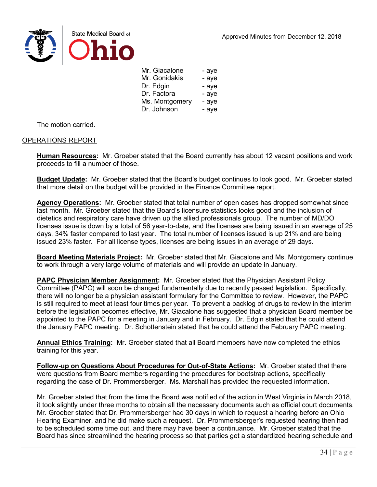



| Mr. Giacalone  | - aye |
|----------------|-------|
| Mr. Gonidakis  | - aye |
| Dr. Edgin      | - aye |
| Dr. Factora    | - aye |
| Ms. Montgomery | - aye |
| Dr. Johnson    | - aye |

The motion carried.

### OPERATIONS REPORT

**Human Resources:** Mr. Groeber stated that the Board currently has about 12 vacant positions and work proceeds to fill a number of those.

**Budget Update:** Mr. Groeber stated that the Board's budget continues to look good. Mr. Groeber stated that more detail on the budget will be provided in the Finance Committee report.

**Agency Operations:** Mr. Groeber stated that total number of open cases has dropped somewhat since last month. Mr. Groeber stated that the Board's licensure statistics looks good and the inclusion of dietetics and respiratory care have driven up the allied professionals group. The number of MD/DO licenses issue is down by a total of 56 year-to-date, and the licenses are being issued in an average of 25 days, 34% faster compared to last year. The total number of licenses issued is up 21% and are being issued 23% faster. For all license types, licenses are being issues in an average of 29 days.

**Board Meeting Materials Project:** Mr. Groeber stated that Mr. Giacalone and Ms. Montgomery continue to work through a very large volume of materials and will provide an update in January.

**PAPC Physician Member Assignment:** Mr. Groeber stated that the Physician Assistant Policy Committee (PAPC) will soon be changed fundamentally due to recently passed legislation. Specifically, there will no longer be a physician assistant formulary for the Committee to review. However, the PAPC is still required to meet at least four times per year. To prevent a backlog of drugs to review in the interim before the legislation becomes effective, Mr. Giacalone has suggested that a physician Board member be appointed to the PAPC for a meeting in January and in February. Dr. Edgin stated that he could attend the January PAPC meeting. Dr. Schottenstein stated that he could attend the February PAPC meeting.

**Annual Ethics Training:** Mr. Groeber stated that all Board members have now completed the ethics training for this year.

**Follow-up on Questions About Procedures for Out-of-State Actions:** Mr. Groeber stated that there were questions from Board members regarding the procedures for bootstrap actions, specifically regarding the case of Dr. Prommersberger. Ms. Marshall has provided the requested information.

Mr. Groeber stated that from the time the Board was notified of the action in West Virginia in March 2018, it took slightly under three months to obtain all the necessary documents such as official court documents. Mr. Groeber stated that Dr. Prommersberger had 30 days in which to request a hearing before an Ohio Hearing Examiner, and he did make such a request. Dr. Prommersberger's requested hearing then had to be scheduled some time out, and there may have been a continuance. Mr. Groeber stated that the Board has since streamlined the hearing process so that parties get a standardized hearing schedule and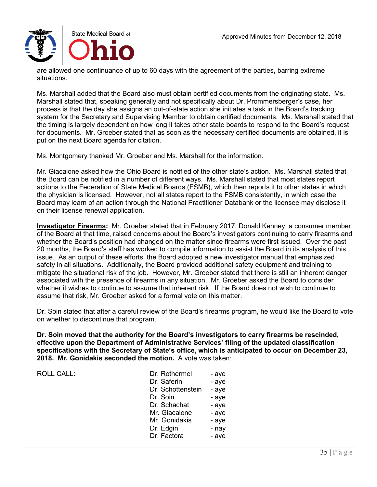

are allowed one continuance of up to 60 days with the agreement of the parties, barring extreme situations.

Ms. Marshall added that the Board also must obtain certified documents from the originating state. Ms. Marshall stated that, speaking generally and not specifically about Dr. Prommersberger's case, her process is that the day she assigns an out-of-state action she initiates a task in the Board's tracking system for the Secretary and Supervising Member to obtain certified documents. Ms. Marshall stated that the timing is largely dependent on how long it takes other state boards to respond to the Board's request for documents. Mr. Groeber stated that as soon as the necessary certified documents are obtained, it is put on the next Board agenda for citation.

Ms. Montgomery thanked Mr. Groeber and Ms. Marshall for the information.

Mr. Giacalone asked how the Ohio Board is notified of the other state's action. Ms. Marshall stated that the Board can be notified in a number of different ways. Ms. Marshall stated that most states report actions to the Federation of State Medical Boards (FSMB), which then reports it to other states in which the physician is licensed. However, not all states report to the FSMB consistently, in which case the Board may learn of an action through the National Practitioner Databank or the licensee may disclose it on their license renewal application.

**Investigator Firearms:** Mr. Groeber stated that in February 2017, Donald Kenney, a consumer member of the Board at that time, raised concerns about the Board's investigators continuing to carry firearms and whether the Board's position had changed on the matter since firearms were first issued. Over the past 20 months, the Board's staff has worked to compile information to assist the Board in its analysis of this issue. As an output of these efforts, the Board adopted a new investigator manual that emphasized safety in all situations. Additionally, the Board provided additional safety equipment and training to mitigate the situational risk of the job. However, Mr. Groeber stated that there is still an inherent danger associated with the presence of firearms in any situation. Mr. Groeber asked the Board to consider whether it wishes to continue to assume that inherent risk. If the Board does not wish to continue to assume that risk, Mr. Groeber asked for a formal vote on this matter.

Dr. Soin stated that after a careful review of the Board's firearms program, he would like the Board to vote on whether to discontinue that program.

**Dr. Soin moved that the authority for the Board's investigators to carry firearms be rescinded, effective upon the Department of Administrative Services' filing of the updated classification specifications with the Secretary of State's office, which is anticipated to occur on December 23, 2018. Mr. Gonidakis seconded the motion.** A vote was taken:

 $ROILCAIL$ :

| Dr. Rothermel     | - aye |
|-------------------|-------|
| Dr. Saferin       | - aye |
| Dr. Schottenstein | - aye |
| Dr. Soin          | - aye |
| Dr. Schachat      | - aye |
| Mr. Giacalone     | - aye |
| Mr. Gonidakis     | - aye |
| Dr. Edgin         | - nay |
| Dr. Factora       | - aye |
|                   |       |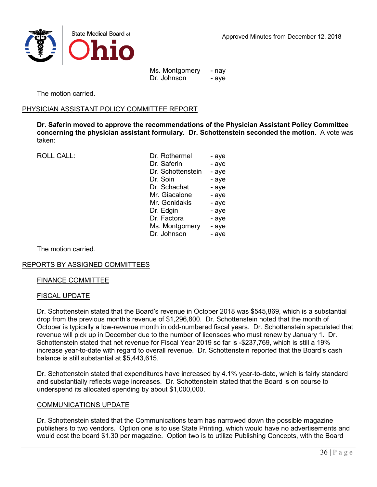

Ms. Montgomery - nay Dr. Johnson - aye

The motion carried.

### PHYSICIAN ASSISTANT POLICY COMMITTEE REPORT

**Dr. Saferin moved to approve the recommendations of the Physician Assistant Policy Committee concerning the physician assistant formulary. Dr. Schottenstein seconded the motion.** A vote was taken:

ROLL CALL:

| Dr. Rothermel     | - aye |
|-------------------|-------|
| Dr. Saferin       | - aye |
| Dr. Schottenstein | - aye |
| Dr. Soin          | - aye |
| Dr. Schachat      | - aye |
| Mr. Giacalone     | - aye |
| Mr. Gonidakis     | - aye |
| Dr. Edgin         | - aye |
| Dr. Factora       | - aye |
| Ms. Montgomery    | - aye |
| Dr. Johnson       | - aye |

The motion carried.

### REPORTS BY ASSIGNED COMMITTEES

#### FINANCE COMMITTEE

#### FISCAL UPDATE

Dr. Schottenstein stated that the Board's revenue in October 2018 was \$545,869, which is a substantial drop from the previous month's revenue of \$1,296,800. Dr. Schottenstein noted that the month of October is typically a low-revenue month in odd-numbered fiscal years. Dr. Schottenstein speculated that revenue will pick up in December due to the number of licensees who must renew by January 1. Dr. Schottenstein stated that net revenue for Fiscal Year 2019 so far is -\$237,769, which is still a 19% increase year-to-date with regard to overall revenue. Dr. Schottenstein reported that the Board's cash balance is still substantial at \$5,443,615.

Dr. Schottenstein stated that expenditures have increased by 4.1% year-to-date, which is fairly standard and substantially reflects wage increases. Dr. Schottenstein stated that the Board is on course to underspend its allocated spending by about \$1,000,000.

#### COMMUNICATIONS UPDATE

Dr. Schottenstein stated that the Communications team has narrowed down the possible magazine publishers to two vendors. Option one is to use State Printing, which would have no advertisements and would cost the board \$1.30 per magazine. Option two is to utilize Publishing Concepts, with the Board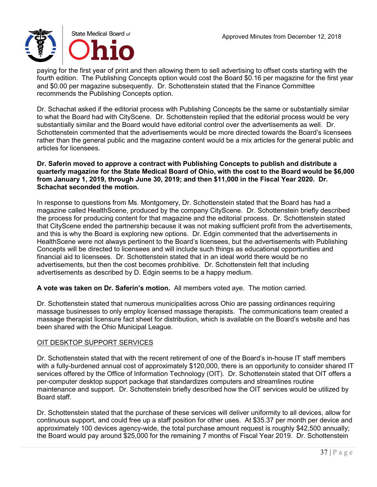

paying for the first year of print and then allowing them to sell advertising to offset costs starting with the fourth edition. The Publishing Concepts option would cost the Board \$0.16 per magazine for the first year and \$0.00 per magazine subsequently. Dr. Schottenstein stated that the Finance Committee recommends the Publishing Concepts option.

Dr. Schachat asked if the editorial process with Publishing Concepts be the same or substantially similar to what the Board had with CityScene. Dr. Schottenstein replied that the editorial process would be very substantially similar and the Board would have editorial control over the advertisements as well. Dr. Schottenstein commented that the advertisements would be more directed towards the Board's licensees rather than the general public and the magazine content would be a mix articles for the general public and articles for licensees.

### **Dr. Saferin moved to approve a contract with Publishing Concepts to publish and distribute a quarterly magazine for the State Medical Board of Ohio, with the cost to the Board would be \$6,000 from January 1, 2019, through June 30, 2019; and then \$11,000 in the Fiscal Year 2020. Dr. Schachat seconded the motion.**

In response to questions from Ms. Montgomery, Dr. Schottenstein stated that the Board has had a magazine called HealthScene, produced by the company CityScene. Dr. Schottenstein briefly described the process for producing content for that magazine and the editorial process. Dr. Schottenstein stated that CityScene ended the partnership because it was not making sufficient profit from the advertisements, and this is why the Board is exploring new options. Dr. Edgin commented that the advertisements in HealthScene were not always pertinent to the Board's licensees, but the advertisements with Publishing Concepts will be directed to licensees and will include such things as educational opportunities and financial aid to licensees. Dr. Schottenstein stated that in an ideal world there would be no advertisements, but then the cost becomes prohibitive. Dr. Schottenstein felt that including advertisements as described by D. Edgin seems to be a happy medium.

**A vote was taken on Dr. Saferin's motion.** All members voted aye. The motion carried.

Dr. Schottenstein stated that numerous municipalities across Ohio are passing ordinances requiring massage businesses to only employ licensed massage therapists. The communications team created a massage therapist licensure fact sheet for distribution, which is available on the Board's website and has been shared with the Ohio Municipal League.

## OIT DESKTOP SUPPORT SERVICES

Dr. Schottenstein stated that with the recent retirement of one of the Board's in-house IT staff members with a fully-burdened annual cost of approximately \$120,000, there is an opportunity to consider shared IT services offered by the Office of Information Technology (OIT). Dr. Schottenstein stated that OIT offers a per-computer desktop support package that standardizes computers and streamlines routine maintenance and support. Dr. Schottenstein briefly described how the OIT services would be utilized by Board staff.

Dr. Schottenstein stated that the purchase of these services will deliver uniformity to all devices, allow for continuous support, and could free up a staff position for other uses. At \$35.37 per month per device and approximately 100 devices agency-wide, the total purchase amount request is roughly \$42,500 annually; the Board would pay around \$25,000 for the remaining 7 months of Fiscal Year 2019. Dr. Schottenstein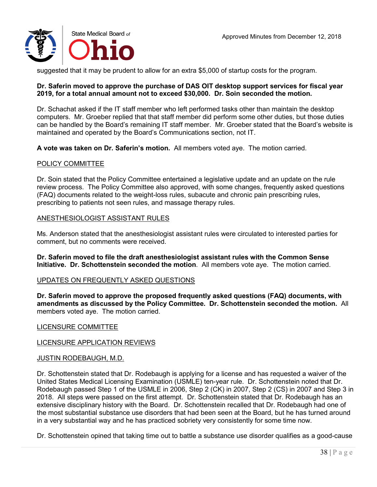

suggested that it may be prudent to allow for an extra \$5,000 of startup costs for the program.

### **Dr. Saferin moved to approve the purchase of DAS OIT desktop support services for fiscal year 2019, for a total annual amount not to exceed \$30,000. Dr. Soin seconded the motion.**

Dr. Schachat asked if the IT staff member who left performed tasks other than maintain the desktop computers. Mr. Groeber replied that that staff member did perform some other duties, but those duties can be handled by the Board's remaining IT staff member. Mr. Groeber stated that the Board's website is maintained and operated by the Board's Communications section, not IT.

**A vote was taken on Dr. Saferin's motion.** All members voted aye. The motion carried.

### POLICY COMMITTEE

Dr. Soin stated that the Policy Committee entertained a legislative update and an update on the rule review process. The Policy Committee also approved, with some changes, frequently asked questions (FAQ) documents related to the weight-loss rules, subacute and chronic pain prescribing rules, prescribing to patients not seen rules, and massage therapy rules.

### ANESTHESIOLOGIST ASSISTANT RULES

Ms. Anderson stated that the anesthesiologist assistant rules were circulated to interested parties for comment, but no comments were received.

**Dr. Saferin moved to file the draft anesthesiologist assistant rules with the Common Sense Initiative. Dr. Schottenstein seconded the motion**. All members vote aye. The motion carried.

### UPDATES ON FREQUENTLY ASKED QUESTIONS

**Dr. Saferin moved to approve the proposed frequently asked questions (FAQ) documents, with amendments as discussed by the Policy Committee. Dr. Schottenstein seconded the motion.** All members voted aye. The motion carried.

### LICENSURE COMMITTEE

### LICENSURE APPLICATION REVIEWS

### JUSTIN RODEBAUGH, M.D.

Dr. Schottenstein stated that Dr. Rodebaugh is applying for a license and has requested a waiver of the United States Medical Licensing Examination (USMLE) ten-year rule. Dr. Schottenstein noted that Dr. Rodebaugh passed Step 1 of the USMLE in 2006, Step 2 (CK) in 2007, Step 2 (CS) in 2007 and Step 3 in 2018. All steps were passed on the first attempt. Dr. Schottenstein stated that Dr. Rodebaugh has an extensive disciplinary history with the Board. Dr. Schottenstein recalled that Dr. Rodebaugh had one of the most substantial substance use disorders that had been seen at the Board, but he has turned around in a very substantial way and he has practiced sobriety very consistently for some time now.

Dr. Schottenstein opined that taking time out to battle a substance use disorder qualifies as a good-cause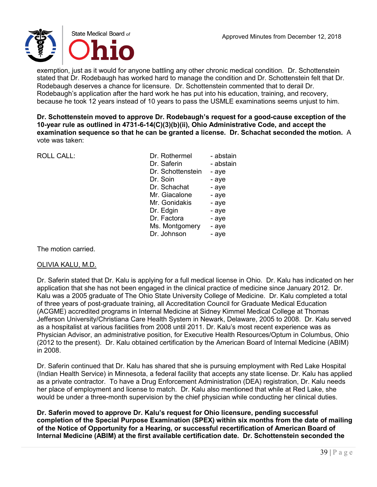

exemption, just as it would for anyone battling any other chronic medical condition. Dr. Schottenstein stated that Dr. Rodebaugh has worked hard to manage the condition and Dr. Schottenstein felt that Dr. Rodebaugh deserves a chance for licensure. Dr. Schottenstein commented that to derail Dr. Rodebaugh's application after the hard work he has put into his education, training, and recovery, because he took 12 years instead of 10 years to pass the USMLE examinations seems unjust to him.

**Dr. Schottenstein moved to approve Dr. Rodebaugh's request for a good-cause exception of the 10-year rule as outlined in 4731-6-14(C)(3)(b)(ii), Ohio Administrative Code, and accept the examination sequence so that he can be granted a license. Dr. Schachat seconded the motion.** A vote was taken:

ROLL CALL:

| Dr Rothermel      | - abstain |
|-------------------|-----------|
| Dr. Saferin       | - abstain |
| Dr. Schottenstein | - aye     |
| Dr. Soin          | - aye     |
| Dr. Schachat      | - aye     |
| Mr. Giacalone     | - aye     |
| Mr. Gonidakis     | - aye     |
| Dr. Edgin         | - aye     |
| Dr. Factora       | - aye     |
| Ms. Montgomery    | - aye     |
| Dr. Johnson       | - aye     |
|                   |           |

The motion carried.

### OLIVIA KALU, M.D.

Dr. Saferin stated that Dr. Kalu is applying for a full medical license in Ohio. Dr. Kalu has indicated on her application that she has not been engaged in the clinical practice of medicine since January 2012. Dr. Kalu was a 2005 graduate of The Ohio State University College of Medicine. Dr. Kalu completed a total of three years of post-graduate training, all Accreditation Council for Graduate Medical Education (ACGME) accredited programs in Internal Medicine at Sidney Kimmel Medical College at Thomas Jefferson University/Christiana Care Health System in Newark, Delaware, 2005 to 2008. Dr. Kalu served as a hospitalist at various facilities from 2008 until 2011. Dr. Kalu's most recent experience was as Physician Advisor, an administrative position, for Executive Health Resources/Optum in Columbus, Ohio (2012 to the present). Dr. Kalu obtained certification by the American Board of Internal Medicine (ABIM) in 2008.

Dr. Saferin continued that Dr. Kalu has shared that she is pursuing employment with Red Lake Hospital (Indian Health Service) in Minnesota, a federal facility that accepts any state license. Dr. Kalu has applied as a private contractor. To have a Drug Enforcement Administration (DEA) registration, Dr. Kalu needs her place of employment and license to match. Dr. Kalu also mentioned that while at Red Lake, she would be under a three-month supervision by the chief physician while conducting her clinical duties.

**Dr. Saferin moved to approve Dr. Kalu's request for Ohio licensure, pending successful completion of the Special Purpose Examination (SPEX) within six months from the date of mailing of the Notice of Opportunity for a Hearing, or successful recertification of American Board of Internal Medicine (ABIM) at the first available certification date. Dr. Schottenstein seconded the**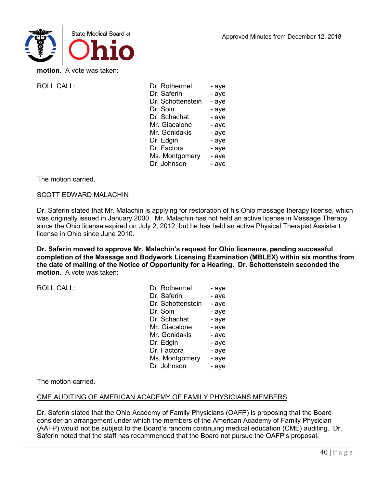

**motion.** A vote was taken:

ROLL CALL:

| Dr. Rothermel     | - aye |
|-------------------|-------|
| Dr. Saferin       | - aye |
| Dr. Schottenstein | - aye |
| Dr. Soin          | - aye |
| Dr. Schachat      | - aye |
| Mr. Giacalone     | - aye |
| Mr. Gonidakis     | - aye |
| Dr. Edgin         | - aye |
| Dr. Factora       | - aye |
| Ms. Montgomery    | - aye |
| Dr. Johnson       | - aye |
|                   |       |

The motion carried.

### SCOTT EDWARD MALACHIN

Dr. Saferin stated that Mr. Malachin is applying for restoration of his Ohio massage therapy license, which was originally issued in January 2000. Mr. Malachin has not held an active license in Massage Therapy since the Ohio license expired on July 2, 2012, but he has held an active Physical Therapist Assistant license in Ohio since June 2010.

**Dr. Saferin moved to approve Mr. Malachin's request for Ohio licensure, pending successful completion of the Massage and Bodywork Licensing Examination (MBLEX) within six months from the date of mailing of the Notice of Opportunity for a Hearing. Dr. Schottenstein seconded the motion.** A vote was taken:

ROLL CALL:

| Dr. Rothermel     | - aye |
|-------------------|-------|
| Dr. Saferin       | - aye |
| Dr. Schottenstein | - aye |
| Dr. Soin          | - aye |
| Dr. Schachat      | - aye |
| Mr. Giacalone     | - aye |
| Mr. Gonidakis     | - aye |
| Dr. Edgin         | - aye |
| Dr. Factora       | - aye |
| Ms. Montgomery    | - aye |
| Dr. Johnson       | - aye |

The motion carried.

### CME AUDITING OF AMERICAN ACADEMY OF FAMILY PHYSICIANS MEMBERS

Dr. Saferin stated that the Ohio Academy of Family Physicians (OAFP) is proposing that the Board consider an arrangement under which the members of the American Academy of Family Physician (AAFP) would not be subject to the Board's random continuing medical education (CME) auditing. Dr. Saferin noted that the staff has recommended that the Board not pursue the OAFP's proposal.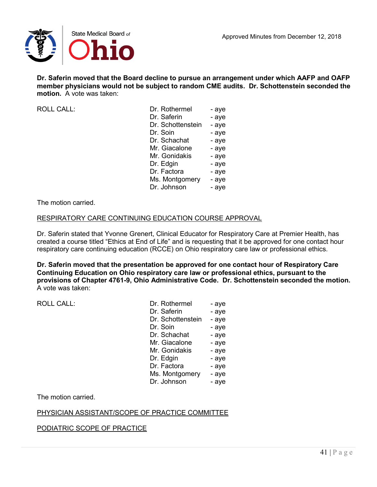

**Dr. Saferin moved that the Board decline to pursue an arrangement under which AAFP and OAFP member physicians would not be subject to random CME audits. Dr. Schottenstein seconded the motion.** A vote was taken:

ROLL CALL:

| Dr. Rothermel     | - aye |
|-------------------|-------|
| Dr. Saferin       | - aye |
| Dr. Schottenstein | - aye |
| Dr. Soin          | - aye |
| Dr. Schachat      | - aye |
| Mr. Giacalone     | - aye |
| Mr. Gonidakis     | - aye |
| Dr. Edgin         | - aye |
| Dr. Factora       | - aye |
| Ms. Montgomery    | - aye |
| Dr. Johnson       | - aye |
|                   |       |

The motion carried.

## RESPIRATORY CARE CONTINUING EDUCATION COURSE APPROVAL

Dr. Saferin stated that Yvonne Grenert, Clinical Educator for Respiratory Care at Premier Health, has created a course titled "Ethics at End of Life" and is requesting that it be approved for one contact hour respiratory care continuing education (RCCE) on Ohio respiratory care law or professional ethics.

**Dr. Saferin moved that the presentation be approved for one contact hour of Respiratory Care Continuing Education on Ohio respiratory care law or professional ethics, pursuant to the provisions of Chapter 4761-9, Ohio Administrative Code. Dr. Schottenstein seconded the motion.**  A vote was taken:

ROLL CALL:

| Dr. Rothermel     | - aye |
|-------------------|-------|
| Dr. Saferin       | - aye |
| Dr. Schottenstein | - aye |
| Dr. Soin          | - aye |
| Dr. Schachat      | - aye |
| Mr. Giacalone     | - aye |
| Mr. Gonidakis     | - aye |
| Dr. Edgin         | - aye |
| Dr. Factora       | - aye |
| Ms. Montgomery    | - aye |
| Dr. Johnson       | - aye |

The motion carried.

## PHYSICIAN ASSISTANT/SCOPE OF PRACTICE COMMITTEE

PODIATRIC SCOPE OF PRACTICE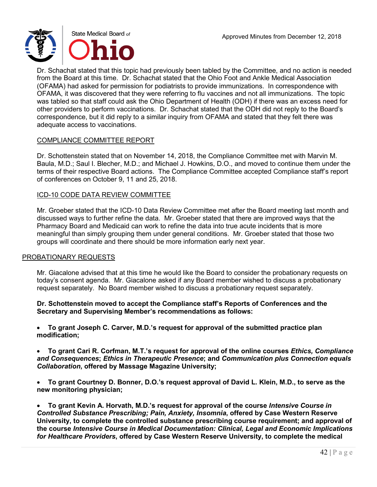

Dr. Schachat stated that this topic had previously been tabled by the Committee, and no action is needed from the Board at this time. Dr. Schachat stated that the Ohio Foot and Ankle Medical Association (OFAMA) had asked for permission for podiatrists to provide immunizations. In correspondence with OFAMA, it was discovered that they were referring to flu vaccines and not all immunizations. The topic was tabled so that staff could ask the Ohio Department of Health (ODH) if there was an excess need for other providers to perform vaccinations. Dr. Schachat stated that the ODH did not reply to the Board's correspondence, but it did reply to a similar inquiry from OFAMA and stated that they felt there was adequate access to vaccinations.

### COMPLIANCE COMMITTEE REPORT

Dr. Schottenstein stated that on November 14, 2018, the Compliance Committee met with Marvin M. Baula, M.D.; Saul I. Blecher, M.D.; and Michael J. Howkins, D.O., and moved to continue them under the terms of their respective Board actions. The Compliance Committee accepted Compliance staff's report of conferences on October 9, 11 and 25, 2018.

### ICD-10 CODE DATA REVIEW COMMITTEE

Mr. Groeber stated that the ICD-10 Data Review Committee met after the Board meeting last month and discussed ways to further refine the data. Mr. Groeber stated that there are improved ways that the Pharmacy Board and Medicaid can work to refine the data into true acute incidents that is more meaningful than simply grouping them under general conditions. Mr. Groeber stated that those two groups will coordinate and there should be more information early next year.

### PROBATIONARY REQUESTS

Mr. Giacalone advised that at this time he would like the Board to consider the probationary requests on today's consent agenda. Mr. Giacalone asked if any Board member wished to discuss a probationary request separately. No Board member wished to discuss a probationary request separately.

### **Dr. Schottenstein moved to accept the Compliance staff's Reports of Conferences and the Secretary and Supervising Member's recommendations as follows:**

• **To grant Joseph C. Carver, M.D.'s request for approval of the submitted practice plan modification;**

- **To grant Cari R. Corfman, M.T.'s request for approval of the online courses** *Ethics, Compliance and Consequences***;** *Ethics in Therapeutic Presence***; and** *Communication plus Connection equals Collaboration***, offered by Massage Magazine University;**
- **To grant Courtney D. Bonner, D.O.'s request approval of David L. Klein, M.D., to serve as the new monitoring physician;**

• **To grant Kevin A. Horvath, M.D.'s request for approval of the course** *Intensive Course in Controlled Substance Prescribing; Pain, Anxiety, Insomnia***, offered by Case Western Reserve University, to complete the controlled substance prescribing course requirement; and approval of the course** *Intensive Course in Medical Documentation: Clinical, Legal and Economic Implications for Healthcare Providers***, offered by Case Western Reserve University, to complete the medical**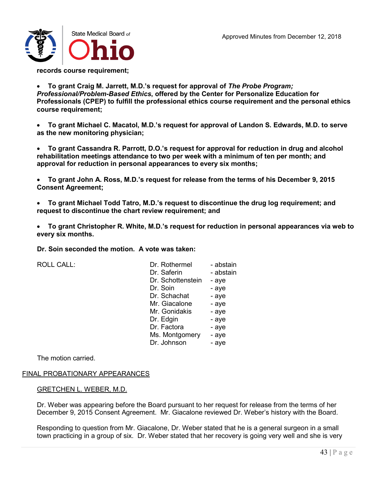

**records course requirement;**

• **To grant Craig M. Jarrett, M.D.'s request for approval of** *The Probe Program; Professional/Problem-Based Ethics***, offered by the Center for Personalize Education for Professionals (CPEP) to fulfill the professional ethics course requirement and the personal ethics course requirement;**

• **To grant Michael C. Macatol, M.D.'s request for approval of Landon S. Edwards, M.D. to serve as the new monitoring physician;**

• **To grant Cassandra R. Parrott, D.O.'s request for approval for reduction in drug and alcohol rehabilitation meetings attendance to two per week with a minimum of ten per month; and approval for reduction in personal appearances to every six months;**

• **To grant John A. Ross, M.D.'s request for release from the terms of his December 9, 2015 Consent Agreement;**

• **To grant Michael Todd Tatro, M.D.'s request to discontinue the drug log requirement; and request to discontinue the chart review requirement; and**

• **To grant Christopher R. White, M.D.'s request for reduction in personal appearances via web to every six months.**

**Dr. Soin seconded the motion. A vote was taken:**

ROLL CALL:

| Dr. Rothermel     | - abstain |
|-------------------|-----------|
| Dr. Saferin       | - abstain |
| Dr. Schottenstein | - aye     |
| Dr. Soin          | - aye     |
| Dr. Schachat      | - aye     |
| Mr. Giacalone     | - aye     |
| Mr. Gonidakis     | - aye     |
| Dr. Edgin         | - aye     |
| Dr. Factora       | - aye     |
| Ms. Montgomery    | - aye     |
| Dr. Johnson       | - aye     |

The motion carried.

### FINAL PROBATIONARY APPEARANCES

### GRETCHEN L. WEBER, M.D.

Dr. Weber was appearing before the Board pursuant to her request for release from the terms of her December 9, 2015 Consent Agreement. Mr. Giacalone reviewed Dr. Weber's history with the Board.

Responding to question from Mr. Giacalone, Dr. Weber stated that he is a general surgeon in a small town practicing in a group of six. Dr. Weber stated that her recovery is going very well and she is very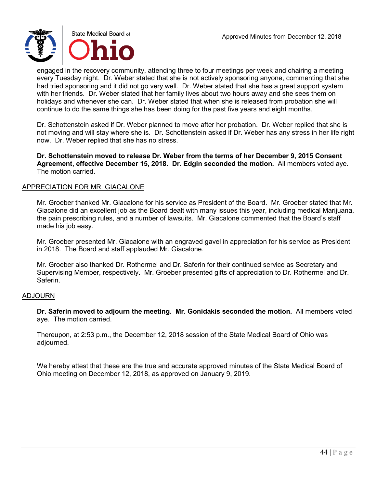

engaged in the recovery community, attending three to four meetings per week and chairing a meeting every Tuesday night. Dr. Weber stated that she is not actively sponsoring anyone, commenting that she had tried sponsoring and it did not go very well. Dr. Weber stated that she has a great support system with her friends. Dr. Weber stated that her family lives about two hours away and she sees them on holidays and whenever she can. Dr. Weber stated that when she is released from probation she will continue to do the same things she has been doing for the past five years and eight months.

Dr. Schottenstein asked if Dr. Weber planned to move after her probation. Dr. Weber replied that she is not moving and will stay where she is. Dr. Schottenstein asked if Dr. Weber has any stress in her life right now. Dr. Weber replied that she has no stress.

**Dr. Schottenstein moved to release Dr. Weber from the terms of her December 9, 2015 Consent Agreement, effective December 15, 2018. Dr. Edgin seconded the motion.** All members voted aye. The motion carried.

### APPRECIATION FOR MR. GIACALONE

Mr. Groeber thanked Mr. Giacalone for his service as President of the Board. Mr. Groeber stated that Mr. Giacalone did an excellent job as the Board dealt with many issues this year, including medical Marijuana, the pain prescribing rules, and a number of lawsuits. Mr. Giacalone commented that the Board's staff made his job easy.

Mr. Groeber presented Mr. Giacalone with an engraved gavel in appreciation for his service as President in 2018. The Board and staff applauded Mr. Giacalone.

Mr. Groeber also thanked Dr. Rothermel and Dr. Saferin for their continued service as Secretary and Supervising Member, respectively. Mr. Groeber presented gifts of appreciation to Dr. Rothermel and Dr. Saferin.

### ADJOURN

**Dr. Saferin moved to adjourn the meeting. Mr. Gonidakis seconded the motion.** All members voted aye. The motion carried.

Thereupon, at 2:53 p.m., the December 12, 2018 session of the State Medical Board of Ohio was adjourned.

We hereby attest that these are the true and accurate approved minutes of the State Medical Board of Ohio meeting on December 12, 2018, as approved on January 9, 2019.